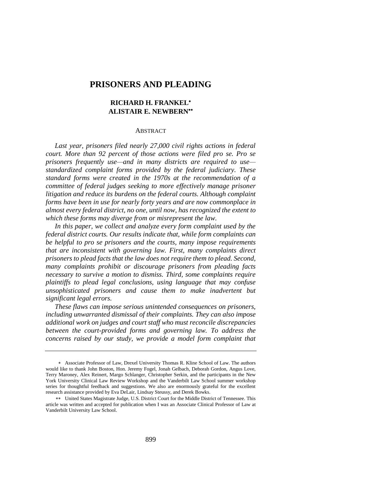# **PRISONERS AND PLEADING**

# **RICHARD H. FRANKEL ALISTAIR E. NEWBERN**

#### **ABSTRACT**

*Last year, prisoners filed nearly 27,000 civil rights actions in federal court. More than 92 percent of those actions were filed pro se. Pro se prisoners frequently use—and in many districts are required to use standardized complaint forms provided by the federal judiciary. These standard forms were created in the 1970s at the recommendation of a committee of federal judges seeking to more effectively manage prisoner litigation and reduce its burdens on the federal courts. Although complaint forms have been in use for nearly forty years and are now commonplace in almost every federal district, no one, until now, has recognized the extent to which these forms may diverge from or misrepresent the law.*

*In this paper, we collect and analyze every form complaint used by the federal district courts. Our results indicate that, while form complaints can be helpful to pro se prisoners and the courts, many impose requirements that are inconsistent with governing law. First, many complaints direct prisoners to plead facts that the law does not require them to plead. Second, many complaints prohibit or discourage prisoners from pleading facts necessary to survive a motion to dismiss. Third, some complaints require plaintiffs to plead legal conclusions, using language that may confuse unsophisticated prisoners and cause them to make inadvertent but significant legal errors.* 

*These flaws can impose serious unintended consequences on prisoners, including unwarranted dismissal of their complaints. They can also impose additional work on judges and court staff who must reconcile discrepancies between the court-provided forms and governing law. To address the concerns raised by our study, we provide a model form complaint that* 

Associate Professor of Law, Drexel University Thomas R. Kline School of Law. The authors would like to thank John Boston, Hon. Jeremy Fogel, Jonah Gelbach, Deborah Gordon, Angus Love, Terry Maroney, Alex Reinert, Margo Schlanger, Christopher Serkin, and the participants in the New York University Clinical Law Review Workshop and the Vanderbilt Law School summer workshop series for thoughtful feedback and suggestions. We also are enormously grateful for the excellent research assistance provided by Eva DeLair, Lindsay Steussy, and Derek Bowks.

<sup>\*\*</sup> United States Magistrate Judge, U.S. District Court for the Middle District of Tennessee. This article was written and accepted for publication when I was an Associate Clinical Professor of Law at Vanderbilt University Law School.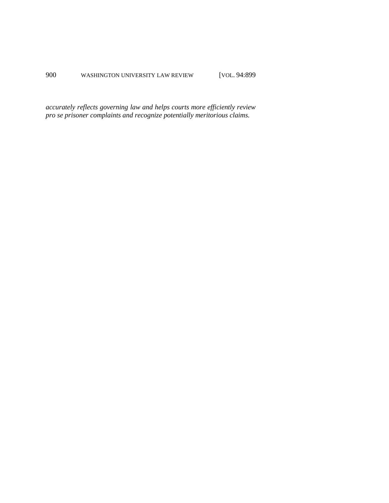*accurately reflects governing law and helps courts more efficiently review pro se prisoner complaints and recognize potentially meritorious claims.*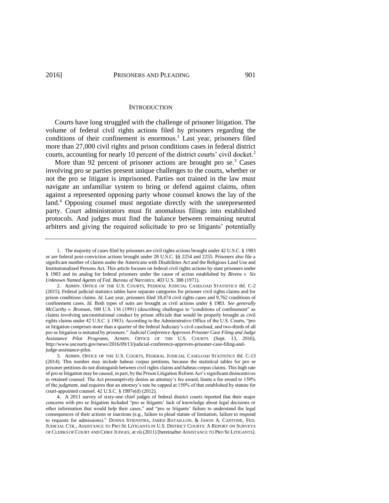#### **INTRODUCTION**

Courts have long struggled with the challenge of prisoner litigation. The volume of federal civil rights actions filed by prisoners regarding the conditions of their confinement is enormous.<sup>1</sup> Last year, prisoners filed more than 27,000 civil rights and prison conditions cases in federal district courts, accounting for nearly 10 percent of the district courts' civil docket.<sup>2</sup>

<span id="page-2-0"></span>More than 92 percent of prisoner actions are brought pro se.<sup>3</sup> Cases involving pro se parties present unique challenges to the courts, whether or not the pro se litigant is imprisoned. Parties not trained in the law must navigate an unfamiliar system to bring or defend against claims, often against a represented opposing party whose counsel knows the lay of the land. <sup>4</sup> Opposing counsel must negotiate directly with the unrepresented party. Court administrators must fit anomalous filings into established protocols. And judges must find the balance between remaining neutral arbiters and giving the required solicitude to pro se litigants' potentially

<sup>1.</sup> The majority of cases filed by prisoners are civil rights actions brought under 42 U.S.C. § 1983 or are federal post-conviction actions brought under 28 U.S.C. §§ 2254 and 2255. Prisoners also file a significant number of claims under the Americans with Disabilities Act and the Religious Land Use and Institutionalized Persons Act. This article focuses on federal civil rights actions by state prisoners under § 1983 and its analog for federal prisoners under the cause of action established by *Bivens v. Six Unknown Named Agents of Fed. Bureau of Narcotics*, 403 U.S. 388 (1971).

<sup>2.</sup> ADMIN. OFFICE OF THE U.S. COURTS, FEDERAL JUDICIAL CASELOAD STATISTICS tbl. C-2 (2015). Federal judicial statistics tables have separate categories for prisoner civil rights claims and for prison conditions claims. *Id.* Last year, prisoners filed 18,474 civil rights cases and 9,762 conditions of confinement cases. *Id.* Both types of suits are brought as civil actions under § 1983. *See generally McCarthy v. Bronson*, 500 U.S. 136 (1991) (describing challenges to "conditions of confinement" as claims involving unconstitutional conduct by prison officials that would be properly brought as civil rights claims under 42 U.S.C. § 1983). According to the Administrative Office of the U.S. Courts, "pro se litigation comprises more than a quarter of the federal Judiciary's civil caseload, and two-thirds of all pro se litigation is initiated by prisoners." *Judicial Conference Approves Prisoner Case Filing and Judge Assistance Pilot Programs*, ADMIN. OFFICE OF THE U.S. COURTS (Sept. 13, 2016), http://www.uscourts.gov/news/2016/09/13/judicial-conference-approves-prisoner-case-filing-andjudge-assistance-pilot.

<sup>3.</sup> ADMIN. OFFICE OF THE U.S. COURTS, FEDERAL JUDICIAL CASELOAD STATISTICS tbl. C-13 (2014). This number may include habeas corpus petitions, because the statistical tables for pro se prisoner petitions do not distinguish between civil rights claims and habeas corpus claims. This high rate of pro se litigation may be caused, in part, by the Prison Litigation Reform Act's significant disincentives to retained counsel. The Act presumptively denies an attorney's fee award, limits a fee award to 150% of the judgment, and requires that an attorney's rate be capped at 150% of that established by statute for court-appointed counsel. 42 U.S.C. § 1997e(d) (2012).

<sup>4.</sup> A 2011 survey of sixty-one chief judges of federal district courts reported that their major concerns with pro se litigation included "pro se litigants' lack of knowledge about legal decisions or other information that would help their cases," and "pro se litigants' failure to understand the legal consequences of their actions or inactions (e.g., failure to plead statute of limitation, failure to respond to requests for admissions)." DONNA STIENSTRA, JARED BATAILLON, & JASON A. CANTONE, FED. JUDICIAL CTR., ASSISTANCE TO PRO SE LITIGANTS IN U.S. DISTRICT COURTS: A REPORT ON SURVEYS OF CLERKS OF COURT AND CHIEF JUDGES, at vii (2011) [hereinafter ASSISTANCE TO PRO SE LITIGANTS].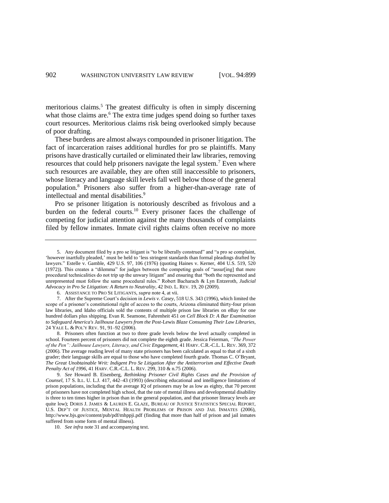<span id="page-3-0"></span>meritorious claims.<sup>5</sup> The greatest difficulty is often in simply discerning what those claims are. <sup>6</sup> The extra time judges spend doing so further taxes court resources. Meritorious claims risk being overlooked simply because of poor drafting.

These burdens are almost always compounded in prisoner litigation. The fact of incarceration raises additional hurdles for pro se plaintiffs. Many prisons have drastically curtailed or eliminated their law libraries, removing resources that could help prisoners navigate the legal system.<sup>7</sup> Even where such resources are available, they are often still inaccessible to prisoners, whose literacy and language skill levels fall well below those of the general population.<sup>8</sup> Prisoners also suffer from a higher-than-average rate of intellectual and mental disabilities.<sup>9</sup>

<span id="page-3-1"></span>Pro se prisoner litigation is notoriously described as frivolous and a burden on the federal courts.<sup>10</sup> Every prisoner faces the challenge of competing for judicial attention against the many thousands of complaints filed by fellow inmates. Inmate civil rights claims often receive no more

<sup>5.</sup> Any document filed by a pro se litigant is "to be liberally construed" and "a pro se complaint, 'however inartfully pleaded,' must be held to 'less stringent standards than formal pleadings drafted by lawyers." Estelle v. Gamble, 429 U.S. 97, 106 (1976) (quoting Haines v. Kerner, 404 U.S. 519, 520 (1972)). This creates a "dilemma" for judges between the competing goals of "assur[ing] that mere procedural technicalities do not trip up the unwary litigant" and ensuring that "both the represented and unrepresented must follow the same procedural rules." Robert Bacharach & Lyn Entzeroth*, Judicial Advocacy in Pro Se Litigation: A Return to Neutrality*, 42 IND. L. REV. 19, 20 (2009).

<sup>6.</sup> ASSISTANCE TO PRO SE LITIGANTS, *supra* note 4, at vii.

<sup>7.</sup> After the Supreme Court's decision in *Lewis v. Casey*, 518 U.S. 343 (1996), which limited the scope of a prisoner's constitutional right of access to the courts, Arizona eliminated thirty-four prison law libraries, and Idaho officials sold the contents of multiple prison law libraries on eBay for one hundred dollars plus shipping. Evan R. Seamone, Fahrenheit 451 *on Cell Block D: A Bar Examination to Safeguard America's Jailhouse Lawyers from the Post-*Lewis *Blaze Consuming Their Law Libraries*, 24 YALE L. & POL'Y REV. 91, 91–92 (2006).

<sup>8.</sup> Prisoners often function at two to three grade levels below the level actually completed in school. Fourteen percent of prisoners did not complete the eighth grade. Jessica Feierman, *"The Power of the Pen": Jailhouse Lawyers, Literacy, and Civic Engagement*, 41 HARV. C.R.-C.L. L. REV. 369, 372 (2006). The average reading level of many state prisoners has been calculated as equal to that of a sixth grader; their language skills are equal to those who have completed fourth grade. Thomas C. O'Bryant, *The Great Unobtainable Writ: Indigent Pro Se Litigation After the Antiterrorism and Effective Death Penalty Act of 1996*, 41 HARV. C.R.-C.L. L. REV. 299, 310 & n.75 (2006).

<sup>9.</sup> *See* Howard B. Eisenberg, *Rethinking Prisoner Civil Rights Cases and the Provision of Counsel*, 17 S. ILL. U. L.J. 417, 442–43 (1993) (describing educational and intelligence limitations of prison populations, including that the average IQ of prisoners may be as low as eighty, that 70 percent of prisoners have not completed high school, that the rate of mental illness and developmental disability is three to ten times higher in prison than in the general population, and that prisoner literacy levels are quite low); DORIS J. JAMES & LAUREN E. GLAZE, BUREAU OF JUSTICE STATISTICS SPECIAL REPORT, U.S. DEP'T OF JUSTICE, MENTAL HEALTH PROBLEMS OF PRISON AND JAIL INMATES (2006), <http://www.bjs.gov/content/pub/pdf/mhppji.pdf> (finding that more than half of prison and jail inmates suffered from some form of mental illness).

<sup>10.</sup> *See infra* not[e 31](#page-7-0) and accompanying text.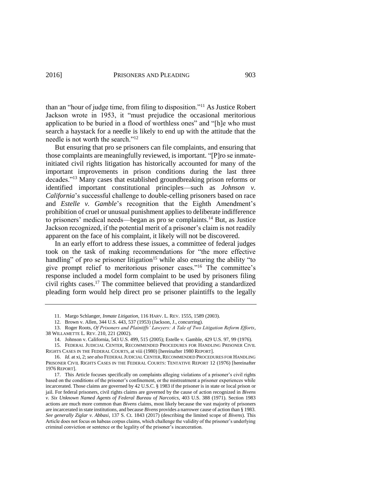than an "hour of judge time, from filing to disposition."<sup>11</sup> As Justice Robert Jackson wrote in 1953, it "must prejudice the occasional meritorious application to be buried in a flood of worthless ones" and "[h]e who must search a haystack for a needle is likely to end up with the attitude that the needle is not worth the search."<sup>12</sup>

But ensuring that pro se prisoners can file complaints, and ensuring that those complaints are meaningfully reviewed, is important. "[P]ro se inmateinitiated civil rights litigation has historically accounted for many of the important improvements in prison conditions during the last three decades."<sup>13</sup> Many cases that established groundbreaking prison reforms or identified important constitutional principles—such as *Johnson v. California*'s successful challenge to double-celling prisoners based on race and *Estelle v. Gamble*'s recognition that the Eighth Amendment's prohibition of cruel or unusual punishment applies to deliberate indifference to prisoners' medical needs—began as pro se complaints.<sup>14</sup> But, as Justice Jackson recognized, if the potential merit of a prisoner's claim is not readily apparent on the face of his complaint, it likely will not be discovered.

<span id="page-4-0"></span>In an early effort to address these issues, a committee of federal judges took on the task of making recommendations for "the more effective handling" of pro se prisoner litigation<sup>15</sup> while also ensuring the ability "to give prompt relief to meritorious prisoner cases."<sup>16</sup> The committee's response included a model form complaint to be used by prisoners filing civil rights cases. <sup>17</sup> The committee believed that providing a standardized pleading form would help direct pro se prisoner plaintiffs to the legally

<span id="page-4-1"></span><sup>11.</sup> Margo Schlanger, *Inmate Litigation*, 116 HARV. L. REV. 1555, 1589 (2003).

<sup>12.</sup> Brown v. Allen, 344 U.S. 443, 537 (1953) (Jackson, J., concurring).

<sup>13.</sup> Roger Roots, *Of Prisoners and Plaintiffs' Lawyers: A Tale of Two Litigation Reform Efforts*, 38 WILLAMETTE L. REV. 210, 221 (2002).

<sup>14.</sup> Johnson v. California, 543 U.S. 499, 515 (2005); Estelle v. Gamble, 429 U.S. 97, 99 (1976).

<sup>15.</sup> FEDERAL JUDICIAL CENTER, RECOMMENDED PROCEDURES FOR HANDLING PRISONER CIVIL RIGHTS CASES IN THE FEDERAL COURTS, at viii (1980) [hereinafter 1980 REPORT].

<sup>16.</sup> *Id.* at xi, 2; see also FEDERAL JUDICIAL CENTER, RECOMMENDED PROCEDURES FOR HANDLING PRISONER CIVIL RIGHTS CASES IN THE FEDERAL COURTS: TENTATIVE REPORT 12 (1976) [hereinafter 1976 REPORT].

<sup>17.</sup> This Article focuses specifically on complaints alleging violations of a prisoner's civil rights based on the conditions of the prisoner's confinement, or the mistreatment a prisoner experiences while incarcerated. Those claims are governed by 42 U.S.C. § 1983 if the prisoner is in state or local prison or jail. For federal prisoners, civil rights claims are governed by the cause of action recognized in *Bivens v. Six Unknown Named Agents of Federal Bureau of Narcotics*, 403 U.S. 388 (1971). Section 1983 actions are much more common than *Bivens* claims, most likely because the vast majority of prisoners are incarcerated in state institutions, and because *Bivens* provides a narrower cause of action than § 1983. *See generally Ziglar v. Abbasi*, 137 S. Ct. 1843 (2017) (describing the limited scope of *Bivens*). This Article does not focus on habeas corpus claims, which challenge the validity of the prisoner's underlying criminal conviction or sentence or the legality of the prisoner's incarceration.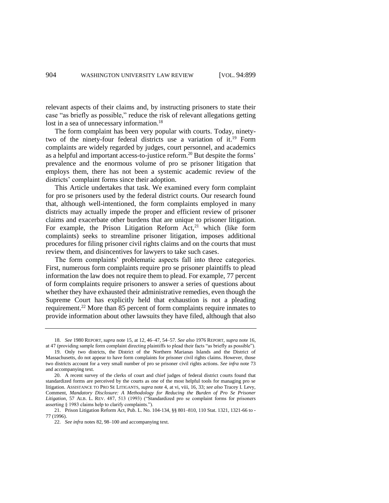relevant aspects of their claims and, by instructing prisoners to state their case "as briefly as possible," reduce the risk of relevant allegations getting lost in a sea of unnecessary information.<sup>18</sup>

<span id="page-5-0"></span>The form complaint has been very popular with courts. Today, ninetytwo of the ninety-four federal districts use a variation of it. <sup>19</sup> Form complaints are widely regarded by judges, court personnel, and academics as a helpful and important access-to-justice reform.<sup>20</sup> But despite the forms' prevalence and the enormous volume of pro se prisoner litigation that employs them, there has not been a systemic academic review of the districts' complaint forms since their adoption.

This Article undertakes that task. We examined every form complaint for pro se prisoners used by the federal district courts. Our research found that, although well-intentioned, the form complaints employed in many districts may actually impede the proper and efficient review of prisoner claims and exacerbate other burdens that are unique to prisoner litigation. For example, the Prison Litigation Reform  $Act<sub>1</sub><sup>21</sup>$  which (like form complaints) seeks to streamline prisoner litigation, imposes additional procedures for filing prisoner civil rights claims and on the courts that must review them, and disincentives for lawyers to take such cases.

The form complaints' problematic aspects fall into three categories. First, numerous form complaints require pro se prisoner plaintiffs to plead information the law does not require them to plead. For example, 77 percent of form complaints require prisoners to answer a series of questions about whether they have exhausted their administrative remedies, even though the Supreme Court has explicitly held that exhaustion is not a pleading requirement.<sup>22</sup> More than 85 percent of form complaints require inmates to provide information about other lawsuits they have filed, although that also

<sup>18.</sup> *See* 1980 REPORT, *supra* not[e 15,](#page-4-0) at 12, 46–47, 54–57*. See also* 1976 REPORT, *supra* note 16, at 47 (providing sample form complaint directing plaintiffs to plead their facts "as briefly as possible").

<sup>19.</sup> Only two districts, the District of the Northern Marianas Islands and the District of Massachusetts, do not appear to have form complaints for prisoner civil rights claims. However, those two districts account for a very small number of pro se prisoner civil rights actions. *See infra* not[e 73](#page-13-0) and accompanying text.

<sup>20.</sup> A recent survey of the clerks of court and chief judges of federal district courts found that standardized forms are perceived by the courts as one of the most helpful tools for managing pro se litigation. ASSISTANCE TO PRO SE LITIGANTS, *supra* not[e 4,](#page-2-0) at vi, viii, 16, 33; *see also* Tracey I. Levy, Comment, *Mandatory Disclosure: A Methodology for Reducing the Burden of Pro Se Prisoner Litigation*, 57 ALB. L. REV. 487, 513 (1993) ("Standardized pro se complaint forms for prisoners asserting § 1983 claims help to clarify complaints.").

<sup>21.</sup> Prison Litigation Reform Act, Pub. L. No. 104-134, §§ 801–810, 110 Stat. 1321, 1321-66 to - 77 (1996).

<sup>22.</sup> *See infra* notes [82,](#page-16-0) 98–100 and accompanying text.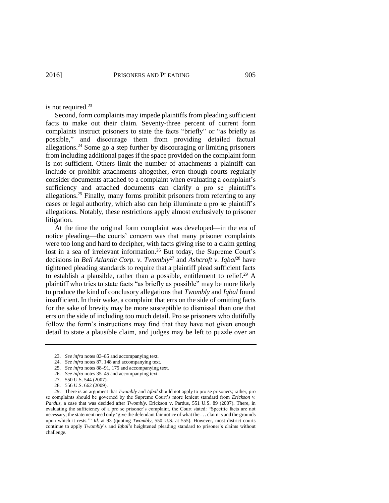is not required. 23

Second, form complaints may impede plaintiffs from pleading sufficient facts to make out their claim. Seventy-three percent of current form complaints instruct prisoners to state the facts "briefly" or "as briefly as possible," and discourage them from providing detailed factual allegations.<sup>24</sup> Some go a step further by discouraging or limiting prisoners from including additional pages if the space provided on the complaint form is not sufficient. Others limit the number of attachments a plaintiff can include or prohibit attachments altogether, even though courts regularly consider documents attached to a complaint when evaluating a complaint's sufficiency and attached documents can clarify a pro se plaintiff's allegations.<sup>25</sup> Finally, many forms prohibit prisoners from referring to any cases or legal authority, which also can help illuminate a pro se plaintiff's allegations. Notably, these restrictions apply almost exclusively to prisoner litigation.

<span id="page-6-0"></span>At the time the original form complaint was developed—in the era of notice pleading—the courts' concern was that many prisoner complaints were too long and hard to decipher, with facts giving rise to a claim getting lost in a sea of irrelevant information.<sup>26</sup> But today, the Supreme Court's decisions in *Bell Atlantic Corp. v. Twombly*<sup>27</sup> and *Ashcroft v. Iqbal*<sup>28</sup> have tightened pleading standards to require that a plaintiff plead sufficient facts to establish a plausible, rather than a possible, entitlement to relief.<sup>29</sup> A plaintiff who tries to state facts "as briefly as possible" may be more likely to produce the kind of conclusory allegations that *Twombly* and *Iqbal* found insufficient. In their wake, a complaint that errs on the side of omitting facts for the sake of brevity may be more susceptible to dismissal than one that errs on the side of including too much detail. Pro se prisoners who dutifully follow the form's instructions may find that they have not given enough detail to state a plausible claim, and judges may be left to puzzle over an

25. *See infra* notes 88–91, 175 and accompanying text.

<sup>23.</sup> *See infra* notes 83–85 and accompanying text.

<sup>24.</sup> *See infra* notes 87, 148 and accompanying text.

<sup>26.</sup> *See infra* notes [35–](#page-9-0)45 and accompanying text.

<sup>27.</sup> 550 U.S. 544 (2007).

<sup>28.</sup> 556 U.S. 662 (2009).

<sup>29.</sup> There is an argument that *Twombly* and *Iqbal* should not apply to pro se prisoners; rather, pro se complaints should be governed by the Supreme Court's more lenient standard from *Erickson v. Pardus*, a case that was decided after *Twombly*. Erickson v. Pardus, 551 U.S. 89 (2007). There, in evaluating the sufficiency of a pro se prisoner's complaint, the Court stated: "Specific facts are not necessary; the statement need only 'give the defendant fair notice of what the . . . claim is and the grounds upon which it rests.'" *Id*. at 93 (quoting *Twombly*, 550 U.S. at 555). However, most district courts continue to apply *Twombly*'s and *Iqbal*'s heightened pleading standard to prisoner's claims without challenge.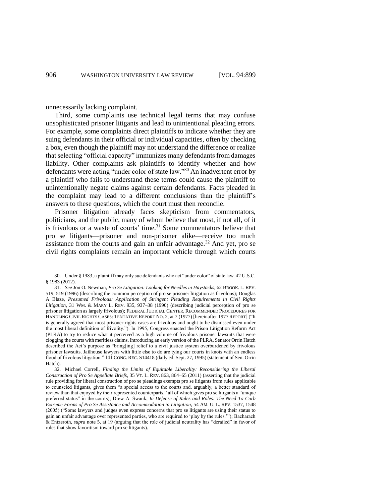unnecessarily lacking complaint.

Third, some complaints use technical legal terms that may confuse unsophisticated prisoner litigants and lead to unintentional pleading errors. For example, some complaints direct plaintiffs to indicate whether they are suing defendants in their official or individual capacities, often by checking a box, even though the plaintiff may not understand the difference or realize that selecting "official capacity" immunizes many defendants from damages liability. Other complaints ask plaintiffs to identify whether and how defendants were acting "under color of state law."<sup>30</sup> An inadvertent error by a plaintiff who fails to understand these terms could cause the plaintiff to unintentionally negate claims against certain defendants. Facts pleaded in the complaint may lead to a different conclusions than the plaintiff's answers to these questions, which the court must then reconcile.

<span id="page-7-0"></span>Prisoner litigation already faces skepticism from commentators, politicians, and the public, many of whom believe that most, if not all, of it is frivolous or a waste of courts' time.<sup>31</sup> Some commentators believe that pro se litigants—prisoner and non-prisoner alike—receive too much assistance from the courts and gain an unfair advantage.<sup>32</sup> And yet, pro se civil rights complaints remain an important vehicle through which courts

<span id="page-7-1"></span><sup>30.</sup> Under § 1983, a plaintiff may only sue defendants who act "under color" of state law. 42 U.S.C. § 1983 (2012).

<sup>31.</sup> *See* Jon O. Newman, *Pro Se Litigation: Looking for Needles in Haystacks*, 62 BROOK. L. REV. 519, 519 (1996) (describing the common perception of pro se prisoner litigation as frivolous); Douglas A Blaze, *Presumed Frivolous: Application of Stringent Pleading Requirements in Civil Rights Litigation*, 31 WM. & MARY L. REV. 935, 937–38 (1990) (describing judicial perception of pro se prisoner litigation as largely frivolous); FEDERAL JUDICIAL CENTER, RECOMMENDED PROCEDURES FOR HANDLING CIVIL RIGHTS CASES: TENTATIVE REPORT NO. 2, at 7 (1977) [hereinafter 1977 REPORT] ("It is generally agreed that most prisoner rights cases are frivolous and ought to be dismissed even under the most liberal definition of frivolity."). In 1995, Congress enacted the Prison Litigation Reform Act (PLRA) to try to reduce what it perceived as a high volume of frivolous prisoner lawsuits that were clogging the courts with meritless claims. Introducing an early version of the PLRA, Senator Orrin Hatch described the Act's purpose as "bring[ing] relief to a civil justice system overburdened by frivolous prisoner lawsuits. Jailhouse lawyers with little else to do are tying our courts in knots with an endless flood of frivolous litigation." 141 CONG. REC. S14418 (daily ed. Sept. 27, 1995) (statement of Sen. Orrin Hatch).

<sup>32.</sup> Michael Correll, *Finding the Limits of Equitable Liberality: Reconsidering the Liberal Construction of Pro Se Appellate Briefs*, 35 VT. L. REV. 863, 864–65 (2011) (asserting that the judicial rule providing for liberal construction of pro se pleadings exempts pro se litigants from rules applicable to counseled litigants, gives them "a special access to the courts and, arguably, a better standard of review than that enjoyed by their represented counterparts," all of which gives pro se litigants a "unique preferred status" in the courts); Drew A. Swank, *In Defense of Rules and Roles: The Need To Curb Extreme Forms of Pro Se Assistance and Accommodation in Litigation*, 54 AM. U. L. REV. 1537, 1548 (2005) ("Some lawyers and judges even express concerns that pro se litigants are using their status to gain an unfair advantage over represented parties, who are required to 'play by the rules.'"); Bacharach & Entzeroth, *supra* note [5,](#page-3-0) at 19 (arguing that the role of judicial neutrality has "derailed" in favor of rules that show favoritism toward pro se litigants).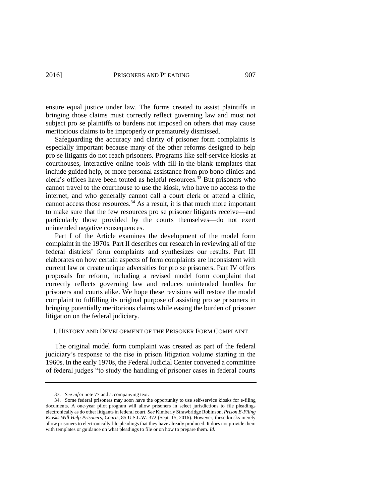ensure equal justice under law. The forms created to assist plaintiffs in bringing those claims must correctly reflect governing law and must not subject pro se plaintiffs to burdens not imposed on others that may cause meritorious claims to be improperly or prematurely dismissed.

Safeguarding the accuracy and clarity of prisoner form complaints is especially important because many of the other reforms designed to help pro se litigants do not reach prisoners. Programs like self-service kiosks at courthouses, interactive online tools with fill-in-the-blank templates that include guided help, or more personal assistance from pro bono clinics and clerk's offices have been touted as helpful resources.<sup>33</sup> But prisoners who cannot travel to the courthouse to use the kiosk, who have no access to the internet, and who generally cannot call a court clerk or attend a clinic, cannot access those resources. <sup>34</sup> As a result, it is that much more important to make sure that the few resources pro se prisoner litigants receive—and particularly those provided by the courts themselves—do not exert unintended negative consequences.

Part I of the Article examines the development of the model form complaint in the 1970s. Part II describes our research in reviewing all of the federal districts' form complaints and synthesizes our results. Part III elaborates on how certain aspects of form complaints are inconsistent with current law or create unique adversities for pro se prisoners. Part IV offers proposals for reform, including a revised model form complaint that correctly reflects governing law and reduces unintended hurdles for prisoners and courts alike. We hope these revisions will restore the model complaint to fulfilling its original purpose of assisting pro se prisoners in bringing potentially meritorious claims while easing the burden of prisoner litigation on the federal judiciary.

## I. HISTORY AND DEVELOPMENT OF THE PRISONER FORM COMPLAINT

The original model form complaint was created as part of the federal judiciary's response to the rise in prison litigation volume starting in the 1960s. In the early 1970s, the Federal Judicial Center convened a committee of federal judges "to study the handling of prisoner cases in federal courts

<sup>33.</sup> *See infra* not[e 77](#page-14-0) and accompanying text.

<sup>34.</sup> Some federal prisoners may soon have the opportunity to use self-service kiosks for e-filing documents. A one-year pilot program will allow prisoners in select jurisdictions to file pleadings electronically as do other litigants in federal court. *See* Kimberly Strawbridge Robinson, *Prison E-Filing Kiosks Will Help Prisoners, Courts*, 85 U.S.L.W. 372 (Sept. 15, 2016). However, these kiosks merely allow prisoners to electronically file pleadings that they have already produced. It does not provide them with templates or guidance on what pleadings to file or on how to prepare them. *Id.*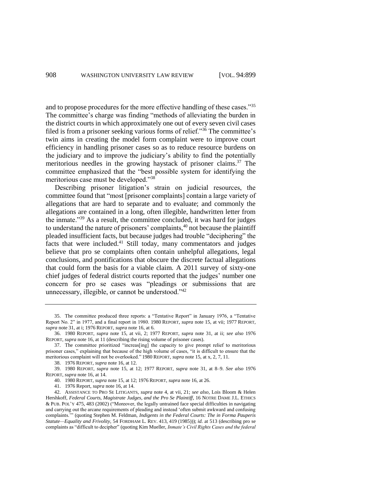<span id="page-9-1"></span><span id="page-9-0"></span>and to propose procedures for the more effective handling of these cases."<sup>35</sup> The committee's charge was finding "methods of alleviating the burden in the district courts in which approximately one out of every seven civil cases filed is from a prisoner seeking various forms of relief."<sup>36</sup> The committee's twin aims in creating the model form complaint were to improve court efficiency in handling prisoner cases so as to reduce resource burdens on the judiciary and to improve the judiciary's ability to find the potentially meritorious needles in the growing haystack of prisoner claims. <sup>37</sup> The committee emphasized that the "best possible system for identifying the meritorious case must be developed."<sup>38</sup>

<span id="page-9-2"></span>Describing prisoner litigation's strain on judicial resources, the committee found that "most [prisoner complaints] contain a large variety of allegations that are hard to separate and to evaluate; and commonly the allegations are contained in a long, often illegible, handwritten letter from the inmate."<sup>39</sup> As a result, the committee concluded, it was hard for judges to understand the nature of prisoners' complaints,<sup>40</sup> not because the plaintiff pleaded insufficient facts, but because judges had trouble "deciphering" the facts that were included.<sup>41</sup> Still today, many commentators and judges believe that pro se complaints often contain unhelpful allegations, legal conclusions, and pontifications that obscure the discrete factual allegations that could form the basis for a viable claim. A 2011 survey of sixty-one chief judges of federal district courts reported that the judges' number one concern for pro se cases was "pleadings or submissions that are unnecessary, illegible, or cannot be understood."<sup>42</sup>

41. 1976 Report, *supra* not[e 16,](#page-4-1) at 14.

<sup>35.</sup> The committee produced three reports: a "Tentative Report" in January 1976, a "Tentative Report No. 2" in 1977, and a final report in 1980. 1980 REPORT, *supra* note [15,](#page-4-0) at vii; 1977 REPORT, *supra* not[e 31,](#page-7-0) at i; 1976 REPORT, *supra* note [16,](#page-4-1) at 6.

<sup>36.</sup> 1980 REPORT, *supra* note [15,](#page-4-0) at vii, 2; 1977 REPORT, *supra* note [31,](#page-7-0) at ii; *see also* 1976 REPORT, *supra* not[e 16,](#page-4-1) at 11 (describing the rising volume of prisoner cases).

<sup>37.</sup> The committee prioritized "increas[ing] the capacity to give prompt relief to meritorious prisoner cases," explaining that because of the high volume of cases, "it is difficult to ensure that the meritorious complaint will not be overlooked." 1980 REPORT, *supra* note [15,](#page-4-0) at x, 2, 7, 11.

<sup>38.</sup> 1976 REPORT, *supra* note [16,](#page-4-1) at 12.

<sup>39.</sup> 1980 REPORT, *supra* note [15,](#page-4-0) at 12; 1977 REPORT, *supra* note [31,](#page-7-0) at 8–9. *See also* 1976 REPORT, *supra* not[e 16,](#page-4-1) at 14.

<sup>40.</sup> 1980 REPORT, *supra* note [15,](#page-4-0) at 12; 1976 REPORT, *supra* not[e 16,](#page-4-1) at 26.

<sup>42.</sup> ASSISTANCE TO PRO SE LITIGANTS, *supra* note [4,](#page-2-0) at vii, 21; *see also*, Lois Bloom & Helen Hershkoff, *Federal Courts, Magistrate Judges, and the Pro Se Plaintiff*, 16 NOTRE DAME J.L. ETHICS & PUB. POL'Y 475, 483 (2002) ("Moreover, the legally untrained face special difficulties in navigating and carrying out the arcane requirements of pleading and instead 'often submit awkward and confusing complaints.'" (quoting Stephen M. Feldman, *Indigents in the Federal Courts: The in Forma Pauperis Statute—Equality and Frivolity*, 54 FORDHAM L. REV. 413, 419 (1985))); *id.* at 513 (describing pro se complaints as "difficult to decipher" (quoting Kim Mueller, *Inmate's Civil Rights Cases and the federal*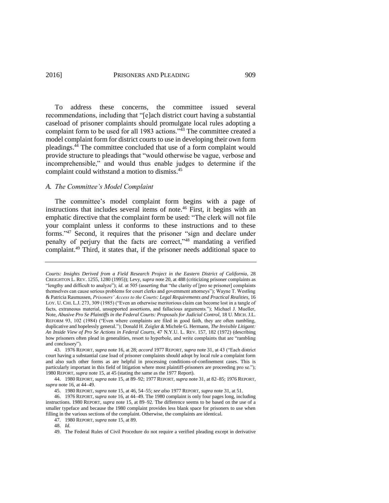To address these concerns, the committee issued several recommendations, including that "[e]ach district court having a substantial caseload of prisoner complaints should promulgate local rules adopting a complaint form to be used for all 1983 actions.<sup>743</sup> The committee created a model complaint form for district courts to use in developing their own form pleadings.<sup>44</sup> The committee concluded that use of a form complaint would provide structure to pleadings that "would otherwise be vague, verbose and incomprehensible," and would thus enable judges to determine if the complaint could withstand a motion to dismiss.<sup>45</sup>

### *A. The Committee's Model Complaint*

The committee's model complaint form begins with a page of instructions that includes several items of note.<sup>46</sup> First, it begins with an emphatic directive that the complaint form be used: "The clerk will not file your complaint unless it conforms to these instructions and to these forms."<sup>47</sup> Second, it requires that the prisoner "sign and declare under penalty of perjury that the facts are correct,"<sup>48</sup> mandating a verified complaint.<sup>49</sup> Third, it states that, if the prisoner needs additional space to

<span id="page-10-0"></span>*Courts: Insights Derived from a Field Research Project in the Eastern District of California*, 28 CREIGHTON L. REV. 1255, 1280 (1995)); Levy, *supra* not[e 20,](#page-5-0) at 488 (criticizing prisoner complaints as "lengthy and difficult to analyze"); *id.* at 505 (asserting that "the clarity of [pro se prisoner] complaints themselves can cause serious problems for court clerks and government attorneys"); Wayne T. Westling & Patricia Rasmussen, *Prisoners' Access to the Courts: Legal Requirements and Practical Realities*, 16 LOY. U. CHI. L.J. 273, 309 (1985) ("Even an otherwise meritorious claim can become lost in a tangle of facts, extraneous material, unsupported assertions, and fallacious arguments."); Michael J. Mueller, Note, *Abusive Pro Se Plaintiffs in the Federal Courts: Proposals for Judicial Control*, 18 U. MICH. J.L. REFORM 93, 102 (1984) ("Even where complaints are filed in good faith, they are often rambling, duplicative and hopelessly general."); Donald H. Zeigler & Michele G. Hermann, *The Invisible Litigant: An Inside View of Pro Se Actions in Federal Courts*, 47 N.Y.U. L. REV. 157, 182 (1972) (describing how prisoners often plead in generalities, resort to hyperbole, and write complaints that are "rambling and conclusory").

<sup>43.</sup> 1976 REPORT, *supra* not[e 16,](#page-4-1) at 28; *accord* 1977 REPORT, *supra* not[e 31,](#page-7-0) at 43 ("Each district court having a substantial case load of prisoner complaints should adopt by local rule a complaint form and also such other forms as are helpful in processing conditions-of-confinement cases. This is particularly important in this field of litigation where most plaintiff-prisoners are proceeding pro se."); 1980 REPORT, *supra* not[e 15,](#page-4-0) at 45 (stating the same as the 1977 Report).

<sup>44.</sup> 1980 REPORT, *supra* not[e 15,](#page-4-0) at 89–92; 1977 REPORT, *supra* not[e 31,](#page-7-0) at 82–85; 1976 REPORT, *supra* not[e 16,](#page-4-1) at 44–49.

<sup>45.</sup> 1980 REPORT, *supra* note [15,](#page-4-0) at 46, 54–55; *see also* 1977 REPORT, *supra* note [31,](#page-7-0) at 51.

<sup>46.</sup> 1976 REPORT, *supra* not[e 16,](#page-4-1) at 44–49. The 1980 complaint is only four pages long, including instructions. 1980 REPORT, *supra* not[e 15,](#page-4-0) at 89–92. The difference seems to be based on the use of a smaller typeface and because the 1980 complaint provides less blank space for prisoners to use when filling in the various sections of the complaint. Otherwise, the complaints are identical.

<sup>47.</sup> 1980 REPORT, *supra* note [15,](#page-4-0) at 89.

<sup>48.</sup> *Id.*

<sup>49.</sup> The Federal Rules of Civil Procedure do not require a verified pleading except in derivative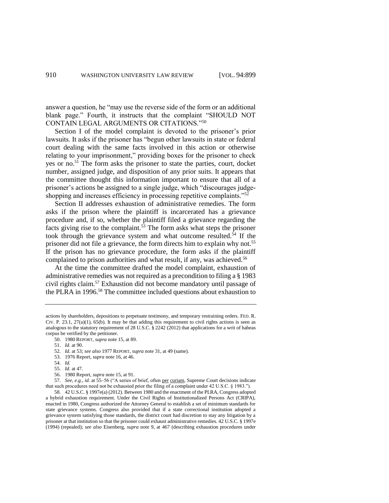answer a question, he "may use the reverse side of the form or an additional blank page." Fourth, it instructs that the complaint "SHOULD NOT CONTAIN LEGAL ARGUMENTS OR CITATIONS."<sup>50</sup>

Section I of the model complaint is devoted to the prisoner's prior lawsuits. It asks if the prisoner has "begun other lawsuits in state or federal court dealing with the same facts involved in this action or otherwise relating to your imprisonment," providing boxes for the prisoner to check yes or no.<sup>51</sup> The form asks the prisoner to state the parties, court, docket number, assigned judge, and disposition of any prior suits. It appears that the committee thought this information important to ensure that all of a prisoner's actions be assigned to a single judge, which "discourages judgeshopping and increases efficiency in processing repetitive complaints."<sup>52</sup>

<span id="page-11-0"></span>Section II addresses exhaustion of administrative remedies. The form asks if the prison where the plaintiff is incarcerated has a grievance procedure and, if so, whether the plaintiff filed a grievance regarding the facts giving rise to the complaint.<sup>53</sup> The form asks what steps the prisoner took through the grievance system and what outcome resulted. $54$  If the prisoner did not file a grievance, the form directs him to explain why not.<sup>55</sup> If the prison has no grievance procedure, the form asks if the plaintiff complained to prison authorities and what result, if any, was achieved.<sup>56</sup>

At the time the committee drafted the model complaint, exhaustion of administrative remedies was not required as a precondition to filing a § 1983 civil rights claim.<sup>57</sup> Exhaustion did not become mandatory until passage of the PLRA in 1996. <sup>58</sup> The committee included questions about exhaustion to

- 53. 1976 Report, *supra* not[e 16,](#page-4-1) at 46.
- 54. *Id.*
- 55. *Id.* at 47.

57. *See, e.g.*, *id.* at 55–56 ("A series of brief, often per curiam, Supreme Court decisions indicate that such procedures need not be exhausted prior the filing of a complaint under 42 U.S.C. § 1983.").

actions by shareholders, depositions to perpetuate testimony, and temporary restraining orders. FED. R. CIV. P.  $23.1$ ,  $27(a)(1)$ ,  $65(b)$ . It may be that adding this requirement to civil rights actions is seen as analogous to the statutory requirement of 28 U.S.C. § 2242 (2012) that applications for a writ of habeas corpus be verified by the petitioner.

<sup>50.</sup> 1980 REPORT, *supra* note [15,](#page-4-0) at 89.

<sup>51.</sup> *Id.* at 90.

<sup>52.</sup> *Id.* at 53; *see also* 1977 REPORT, *supra* not[e 31,](#page-7-0) at 49 (same).

<sup>56.</sup> 1980 Report, *supra* not[e 15,](#page-4-0) at 91.

<sup>58.</sup> 42 U.S.C. § 1997e(a) (2012). Between 1980 and the enactment of the PLRA, Congress adopted a hybrid exhaustion requirement. Under the Civil Rights of Institutionalized Persons Act (CRIPA), enacted in 1980, Congress authorized the Attorney General to establish a set of minimum standards for state grievance systems. Congress also provided that if a state correctional institution adopted a grievance system satisfying those standards, the district court had discretion to stay any litigation by a prisoner at that institution so that the prisoner could exhaust administrative remedies. 42 U.S.C. § 1997e (1994) (repealed); *see also* Eisenberg, *supra* note [9,](#page-3-1) at 467 (describing exhaustion procedures under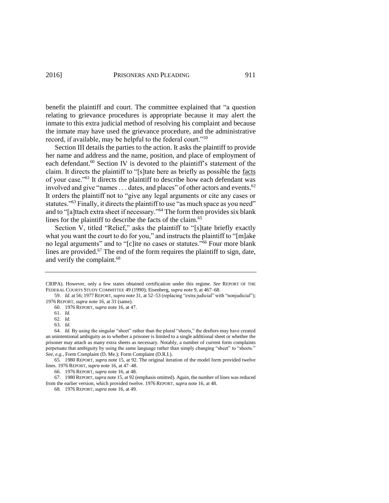benefit the plaintiff and court. The committee explained that "a question relating to grievance procedures is appropriate because it may alert the inmate to this extra judicial method of resolving his complaint and because the inmate may have used the grievance procedure, and the administrative record, if available, may be helpful to the federal court."<sup>59</sup>

Section III details the parties to the action. It asks the plaintiff to provide her name and address and the name, position, and place of employment of each defendant.<sup>60</sup> Section IV is devoted to the plaintiff's statement of the claim. It directs the plaintiff to "[s]tate here as briefly as possible the facts of your case."<sup>61</sup> It directs the plaintiff to describe how each defendant was involved and give "names . . . dates, and places" of other actors and events.<sup>62</sup> It orders the plaintiff not to "give any legal arguments or cite any cases or statutes."<sup>63</sup> Finally, it directs the plaintiff to use "as much space as you need" and to "[a]ttach extra sheet if necessary."<sup>64</sup> The form then provides six blank lines for the plaintiff to describe the facts of the claim.<sup>65</sup>

Section V, titled "Relief," asks the plaintiff to "[s]tate briefly exactly what you want the court to do for you," and instructs the plaintiff to "[m]ake no legal arguments" and to "[c]ite no cases or statutes."<sup>66</sup> Four more blank lines are provided. $67$  The end of the form requires the plaintiff to sign, date, and verify the complaint.<sup>68</sup>

63. *Id*.

66. 1976 REPORT, *supra* note [16,](#page-4-1) at 48.

67. 1980 REPORT, *supra* not[e 15,](#page-4-0) at 92 (emphasis omitted). Again, the number of lines was reduced from the earlier version, which provided twelve. 1976 REPORT, *supra* not[e 16,](#page-4-1) at 48.

68. 1976 REPORT, *supra* note [16,](#page-4-1) at 49.

CRIPA). However, only a few states obtained certification under this regime. *See* REPORT OF THE FEDERAL COURTS STUDY COMMITTEE 49 (1990); Eisenberg, *supra* not[e 9,](#page-3-1) at 467–68.

<sup>59.</sup> *Id.* at 56; 1977REPORT, *supra* not[e 31,](#page-7-0) at 52–53 (replacing "extra judicial" with "nonjudicial"); 1976 REPORT, *supra* not[e 16,](#page-4-1) at 31 (same).

<sup>60.</sup> 1976 REPORT, *supra* note [16,](#page-4-1) at 47.

<sup>61.</sup> *Id.*

<sup>62.</sup> *Id.*

<sup>64.</sup> *Id.* By using the singular "sheet" rather than the plural "sheets," the drafters may have created an unintentional ambiguity as to whether a prisoner is limited to a single additional sheet or whether the prisoner may attach as many extra sheets as necessary. Notably, a number of current form complaints perpetuate that ambiguity by using the same language rather than simply changing "sheet" to "sheets." *See, e.g.*, Form Complaint (D. Me.); Form Complaint (D.R.I.).

<sup>65.</sup> 1980 REPORT, *supra* not[e 15,](#page-4-0) at 92. The original iteration of the model form provided twelve lines. 1976 REPORT, *supra* not[e 16,](#page-4-1) at 47–48.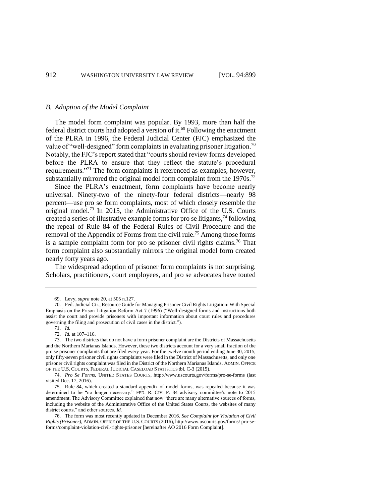#### *B. Adoption of the Model Complaint*

The model form complaint was popular. By 1993, more than half the federal district courts had adopted a version of it. <sup>69</sup> Following the enactment of the PLRA in 1996, the Federal Judicial Center (FJC) emphasized the value of "well-designed" form complaints in evaluating prisoner litigation.<sup>70</sup> Notably, the FJC's report stated that "courts should review forms developed before the PLRA to ensure that they reflect the statute's procedural requirements."<sup>71</sup> The form complaints it referenced as examples, however, substantially mirrored the original model form complaint from the 1970s.<sup>72</sup>

<span id="page-13-0"></span>Since the PLRA's enactment, form complaints have become nearly universal. Ninety-two of the ninety-four federal districts—nearly 98 percent—use pro se form complaints, most of which closely resemble the original model.<sup>73</sup> In 2015, the Administrative Office of the U.S. Courts created a series of illustrative example forms for pro se litigants,  $^{74}$  following the repeal of Rule 84 of the Federal Rules of Civil Procedure and the removal of the Appendix of Forms from the civil rule.<sup>75</sup> Among those forms is a sample complaint form for pro se prisoner civil rights claims.<sup>76</sup> That form complaint also substantially mirrors the original model form created nearly forty years ago.

The widespread adoption of prisoner form complaints is not surprising. Scholars, practitioners, court employees, and pro se advocates have touted

71. *Id.*

<span id="page-13-1"></span><sup>69.</sup> Levy, *supra* not[e 20,](#page-5-0) at 505 n.127.

<sup>70.</sup> Fed. Judicial Ctr., Resource Guide for Managing Prisoner Civil Rights Litigation: With Special Emphasis on the Prison Litigation Reform Act 7 (1996) ("Well-designed forms and instructions both assist the court and provide prisoners with important information about court rules and procedures governing the filing and prosecution of civil cases in the district.").

<sup>72.</sup> *Id.* at 107–116.

<sup>73.</sup> The two districts that do not have a form prisoner complaint are the Districts of Massachusetts and the Northern Marianas Islands. However, these two districts account for a very small fraction of the pro se prisoner complaints that are filed every year. For the twelve month period ending June 30, 2015, only fifty-seven prisoner civil rights complaints were filed in the District of Massachusetts, and only one prisoner civil rights complaint was filed in the District of the Northern Marianas Islands. ADMIN. OFFICE OF THE U.S. COURTS, FEDERAL JUDICIAL CASELOAD STATISTICS tbl. C-3 (2015).

<sup>74.</sup> *Pro Se Forms*, UNITED STATES COURTS, http://www.uscourts.gov/forms/pro-se-forms (last visited Dec. 17, 2016).

<sup>75.</sup> Rule 84, which created a standard appendix of model forms, was repealed because it was determined to be "no longer necessary." FED. R. CIV. P. 84 advisory committee's note to 2015 amendment. The Advisory Committee explained that now "there are many alternative sources of forms, including the website of the Administrative Office of the United States Courts, the websites of many district courts," and other sources. *Id.*

<sup>76.</sup> The form was most recently updated in December 2016. *See Complaint for Violation of Civil Rights (Prisoner)*, ADMIN. OFFICE OF THE U.S. COURTS (2016)[, http://www.uscourts.gov/forms/](http://www.uscourts.gov/forms/pro-se-forms/complaint-violation-civil-rights-prisoner) pro-se[forms/complaint-violation-civil-rights-prisoner](http://www.uscourts.gov/forms/pro-se-forms/complaint-violation-civil-rights-prisoner) [hereinafter AO 2016 Form Complaint].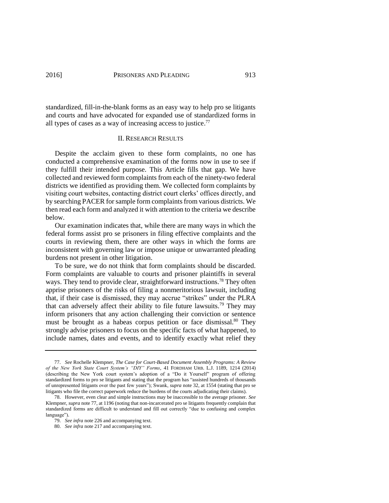standardized, fill-in-the-blank forms as an easy way to help pro se litigants and courts and have advocated for expanded use of standardized forms in all types of cases as a way of increasing access to justice.<sup>77</sup>

## <span id="page-14-0"></span>II. RESEARCH RESULTS

Despite the acclaim given to these form complaints, no one has conducted a comprehensive examination of the forms now in use to see if they fulfill their intended purpose. This Article fills that gap. We have collected and reviewed form complaints from each of the ninety-two federal districts we identified as providing them. We collected form complaints by visiting court websites, contacting district court clerks' offices directly, and by searching PACER for sample form complaints from various districts. We then read each form and analyzed it with attention to the criteria we describe below.

Our examination indicates that, while there are many ways in which the federal forms assist pro se prisoners in filing effective complaints and the courts in reviewing them, there are other ways in which the forms are inconsistent with governing law or impose unique or unwarranted pleading burdens not present in other litigation.

To be sure, we do not think that form complaints should be discarded. Form complaints are valuable to courts and prisoner plaintiffs in several ways. They tend to provide clear, straightforward instructions.<sup>78</sup> They often apprise prisoners of the risks of filing a nonmeritorious lawsuit, including that, if their case is dismissed, they may accrue "strikes" under the PLRA that can adversely affect their ability to file future lawsuits.<sup>79</sup> They may inform prisoners that any action challenging their conviction or sentence must be brought as a habeas corpus petition or face dismissal. <sup>80</sup> They strongly advise prisoners to focus on the specific facts of what happened, to include names, dates and events, and to identify exactly what relief they

<sup>77.</sup> *See* Rochelle Klempner, *The Case for Court-Based Document Assembly Programs: A Review of the New York State Court System's "DIY" Forms*, 41 FORDHAM URB. L.J. 1189, 1214 (2014) (describing the New York court system's adoption of a "Do it Yourself" program of offering standardized forms to pro se litigants and stating that the program has "assisted hundreds of thousands of unrepresented litigants over the past few years"); Swank, *supra* note [32,](#page-7-1) at 1554 (stating that pro se litigants who file the correct paperwork reduce the burdens of the courts adjudicating their claims).

<sup>78.</sup> However, even clear and simple instructions may be inaccessible to the average prisoner. *See*  Klempner, *supra* not[e 77,](#page-14-0) at 1196 (noting that non-incarcerated pro se litigants frequently complain that standardized forms are difficult to understand and fill out correctly "due to confusing and complex language").

<sup>79.</sup> *See infra* note 226 and accompanying text.

<sup>80.</sup> *See infra* not[e 217](#page-50-0) and accompanying text.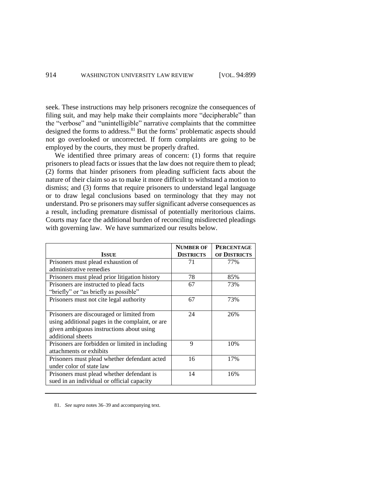seek. These instructions may help prisoners recognize the consequences of filing suit, and may help make their complaints more "decipherable" than the "verbose" and "unintelligible" narrative complaints that the committee designed the forms to address.<sup>81</sup> But the forms' problematic aspects should not go overlooked or uncorrected. If form complaints are going to be employed by the courts, they must be properly drafted.

We identified three primary areas of concern: (1) forms that require prisoners to plead facts or issues that the law does not require them to plead; (2) forms that hinder prisoners from pleading sufficient facts about the nature of their claim so as to make it more difficult to withstand a motion to dismiss; and (3) forms that require prisoners to understand legal language or to draw legal conclusions based on terminology that they may not understand. Pro se prisoners may suffer significant adverse consequences as a result, including premature dismissal of potentially meritorious claims. Courts may face the additional burden of reconciling misdirected pleadings with governing law. We have summarized our results below.

|                                                 | <b>NUMBER OF</b> | <b>PERCENTAGE</b> |
|-------------------------------------------------|------------------|-------------------|
| <b>ISSUE</b>                                    | <b>DISTRICTS</b> | OF DISTRICTS      |
| Prisoners must plead exhaustion of              | 71               | 77%               |
| administrative remedies                         |                  |                   |
| Prisoners must plead prior litigation history   | 78               | 85%               |
| Prisoners are instructed to plead facts         | 67               | 73%               |
| "briefly" or "as briefly as possible"           |                  |                   |
| Prisoners must not cite legal authority         | 67               | 73%               |
|                                                 |                  |                   |
| Prisoners are discouraged or limited from       | 24               | 26%               |
| using additional pages in the complaint, or are |                  |                   |
| given ambiguous instructions about using        |                  |                   |
| additional sheets                               |                  |                   |
| Prisoners are forbidden or limited in including | 9                | 10%               |
| attachments or exhibits                         |                  |                   |
| Prisoners must plead whether defendant acted    | 16               | 17%               |
| under color of state law                        |                  |                   |
| Prisoners must plead whether defendant is       | 14               | 16%               |
| sued in an individual or official capacity      |                  |                   |

81. *See supra* note[s 36](#page-9-1)[–39](#page-9-2) and accompanying text.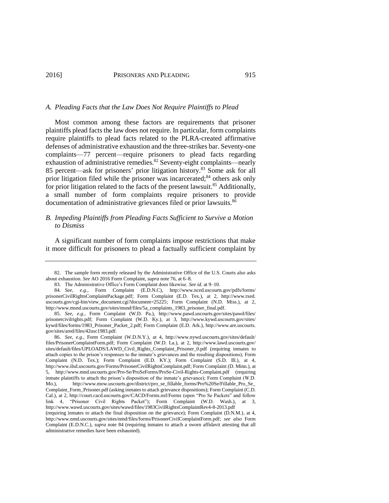## *A. Pleading Facts that the Law Does Not Require Plaintiffs to Plead*

<span id="page-16-0"></span>Most common among these factors are requirements that prisoner plaintiffs plead facts the law does not require. In particular, form complaints require plaintiffs to plead facts related to the PLRA-created affirmative defenses of administrative exhaustion and the three-strikes bar. Seventy-one complaints—77 percent—require prisoners to plead facts regarding exhaustion of administrative remedies.<sup>82</sup> Seventy-eight complaints—nearly 85 percent—ask for prisoners' prior litigation history.<sup>83</sup> Some ask for all prior litigation filed while the prisoner was incarcerated;<sup>84</sup> others ask only for prior litigation related to the facts of the present lawsuit.<sup>85</sup> Additionally, a small number of form complaints require prisoners to provide documentation of administrative grievances filed or prior lawsuits.<sup>86</sup>

# <span id="page-16-3"></span><span id="page-16-2"></span><span id="page-16-1"></span>*B. Impeding Plaintiffs from Pleading Facts Sufficient to Survive a Motion to Dismiss*

A significant number of form complaints impose restrictions that make it more difficult for prisoners to plead a factually sufficient complaint by

<sup>82.</sup> The sample form recently released by the Administrative Office of the U.S. Courts also asks about exhaustion. *See* AO 2016 Form Complaint, *supra* not[e 76,](#page-13-1) at 6–8.

<sup>83.</sup> The Administrative Office's Form Complaint does likewise. *See id.* at 9–10.

<sup>84.</sup> *See, e.g.*, Form Complaint (E.D.N.C), http://www.nced.uscourts.gov/pdfs/forms/ prisonerCivilRightsComplaintPackage.pdf; Form Complaint (E.D. Tex.), at 2, http://www.txed. uscourts.gov/cgi-bin/view document.cgi?document=25225; Form Complaint (N.D. Miss.), at 2, http://www.msnd.uscourts.gov/sites/msnd/files/5a\_complaints\_1983\_prisoner\_final.pdf.

<sup>85.</sup> *See, e.g.*, Form Complaint (W.D. Pa.), http://www.pawd.uscourts.gov/sites/pawd/files/ prisonercivilrights.pdf; Form Complaint (W.D. Ky.), at 3, http://www.kywd.uscourts.gov/sites/ kywd/files/forms/1983\_Prisoner\_Packet\_2.pdf; Form Complaint (E.D. Ark.), http://www.are.uscourts. gov/sites/ared/files/42usc1983.pdf.

<sup>86.</sup> *See, e.g.*, Form Complaint (W.D.N.Y.), at 4, http://www.nywd.uscourts.gov/sites/default/ files/PrisonerComplaintForm.pdf; Form Complaint (W.D. La.), at 2, http://www.lawd.uscourts.gov/ sites/default/files/UPLOADS/LAWD\_Civil\_Rights\_Complaint\_Prisoner\_0.pdf (requiring inmates to attach copies to the prison's responses to the inmate's grievances and the resulting dispositions); Form Complaint (N.D. Tex.); Form Complaint (E.D. KY.); Form Complaint (S.D. Ill.), at 4, http://www.ilsd.uscourts.gov/Forms/PrisonerCivilRightsComplaint.pdf; Form Complaint (D. Minn.), at 5, http://www.mnd.uscourts.gov/Pro-Se/ProSeForms/ProSe-Civil-Rights-Complaint.pdf (requiring inmate plaintiffs to attach the prison's disposition of the inmate's grievance); Form Complaint (W.D. Mo.), http://www.mow.uscourts.gov/district/pro\_se\_fillable\_forms/Pro%20Se/Fillable\_Pro\_Se\_ Complaint\_Form\_Prisoner.pdf (asking inmates to attach grievance dispositions); Form Complaint (C.D. Cal.), at 2, http://court.cacd.uscourts.gov/CACD/Forms.nsf/Forms (open "Pro Se Packets" and follow link 4, "Prisoner Civil Rights Packet"); Form Complaint (W.D. Wash.), at 3, http://www.wawd.uscourts.gov/sites/wawd/files/1983CivilRightsComplaintRev4-8-2013.pdf

<sup>(</sup>requiring inmates to attach the final disposition on the grievance); Form Complaint (D.N.M.), at 4, http://www.nmd.uscourts.gov/sites/nmd/files/forms/PrisonerCivilComplaintForm.pdf; *see also* Form Complaint (E.D.N.C.), *supra* note [84](#page-16-1) (requiring inmates to attach a sworn affidavit attesting that all administrative remedies have been exhausted).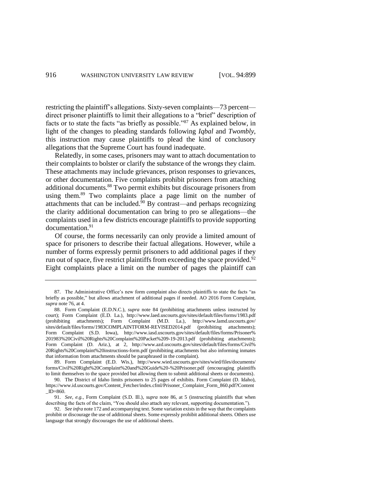restricting the plaintiff's allegations. Sixty-seven complaints—73 percent direct prisoner plaintiffs to limit their allegations to a "brief" description of facts or to state the facts "as briefly as possible."<sup>87</sup> As explained below, in light of the changes to pleading standards following *Iqbal* and *Twombly*, this instruction may cause plaintiffs to plead the kind of conclusory allegations that the Supreme Court has found inadequate.

<span id="page-17-0"></span>Relatedly, in some cases, prisoners may want to attach documentation to their complaints to bolster or clarify the substance of the wrongs they claim. These attachments may include grievances, prison responses to grievances, or other documentation. Five complaints prohibit prisoners from attaching additional documents. <sup>88</sup> Two permit exhibits but discourage prisoners from using them.<sup>89</sup> Two complaints place a page limit on the number of attachments that can be included. $90$  By contrast—and perhaps recognizing the clarity additional documentation can bring to pro se allegations—the complaints used in a few districts encourage plaintiffs to provide supporting documentation.<sup>91</sup>

<span id="page-17-1"></span>Of course, the forms necessarily can only provide a limited amount of space for prisoners to describe their factual allegations. However, while a number of forms expressly permit prisoners to add additional pages if they run out of space, five restrict plaintiffs from exceeding the space provided.<sup>92</sup> Eight complaints place a limit on the number of pages the plaintiff can

<sup>87.</sup> The Administrative Office's new form complaint also directs plaintiffs to state the facts "as briefly as possible," but allows attachment of additional pages if needed. AO 2016 Form Complaint, *supra* not[e 76,](#page-13-1) at 4.

<sup>88.</sup> Form Complaint (E.D.N.C.), *supra* note [84](#page-16-1) (prohibiting attachments unless instructed by court); Form Complaint (E.D. La.), http://www.laed.uscourts.gov/sites/default/files/forms/1983.pdf (prohibiting attachments); Form Complaint (M.D. La.), http://www.lamd.uscourts.gov/ sites/default/files/forms/1983COMPLAINTFORM-REVISED2014.pdf (prohibiting attachments); Form Complaint (S.D. Iowa), http://www.iasd.uscourts.gov/sites/default/files/forms/Prisoner% 201983%20Civil%20Rights%20Complaint%20Packet%209-19-2013.pdf (prohibiting attachments); Form Complaint (D. Ariz.), at 2, http://www.azd.uscourts.gov/sites/default/files/forms/Civil% 20Rights%20Complaint%20instructions-form.pdf (prohibiting attachments but also informing inmates that information from attachments should be paraphrased in the complaint).

<sup>89.</sup> Form Complaint (E.D. Wis.), http://www.wied.uscourts.gov/sites/wied/files/documents/ forms/Civil%20Right%20Complaint%20and%20Guide%20-%20Prisoner.pdf (encouraging plaintiffs to limit themselves to the space provided but allowing them to submit additional sheets or documents).

<sup>90.</sup> The District of Idaho limits prisoners to 25 pages of exhibits. Form Complaint (D. Idaho), https://www.id.uscourts.gov/Content\_Fetcher/index.cfml/Prisoner\_Complaint\_Form\_860.pdf?Content  $ID=860.$ 

<sup>91.</sup> *See, e.g.*, Form Complaint (S.D. Ill.), *supra* note [86,](#page-16-2) at 5 (instructing plaintiffs that when describing the facts of the claim, "You should also attach any relevant, supporting documentation.").

<sup>92.</sup> *See infra* not[e 172](#page-36-0) and accompanying text. Some variation exists in the way that the complaints prohibit or discourage the use of additional sheets. Some expressly prohibit additional sheets. Others use language that strongly discourages the use of additional sheets.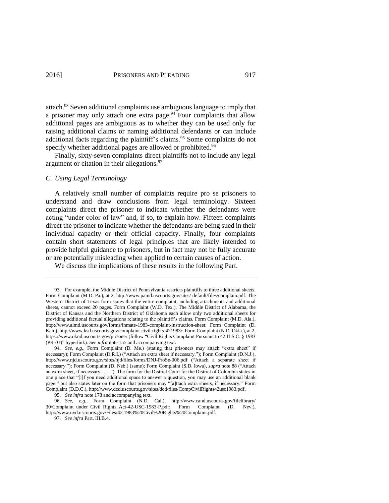<span id="page-18-2"></span><span id="page-18-0"></span>attach.<sup>93</sup> Seven additional complaints use ambiguous language to imply that a prisoner may only attach one extra page.<sup>94</sup> Four complaints that allow additional pages are ambiguous as to whether they can be used only for raising additional claims or naming additional defendants or can include additional facts regarding the plaintiff's claims.<sup>95</sup> Some complaints do not specify whether additional pages are allowed or prohibited.<sup>96</sup>

<span id="page-18-1"></span>Finally, sixty-seven complaints direct plaintiffs not to include any legal argument or citation in their allegations.<sup>97</sup>

# *C. Using Legal Terminology*

A relatively small number of complaints require pro se prisoners to understand and draw conclusions from legal terminology. Sixteen complaints direct the prisoner to indicate whether the defendants were acting "under color of law" and, if so, to explain how. Fifteen complaints direct the prisoner to indicate whether the defendants are being sued in their individual capacity or their official capacity. Finally, four complaints contain short statements of legal principles that are likely intended to provide helpful guidance to prisoners, but in fact may not be fully accurate or are potentially misleading when applied to certain causes of action.

We discuss the implications of these results in the following Part.

97. *See infra* Part. III.B.4.

<sup>93.</sup> For example, the Middle District of Pennsylvania restricts plaintiffs to three additional sheets. Form Complaint (M.D. Pa.), at 2, http://www.pamd.uscourts.gov/sites/ default/files/complain.pdf. The Western District of Texas form states that the entire complaint, including attachments and additional sheets, cannot exceed 20 pages. Form Complaint (W.D. Tex.). The Middle District of Alabama, the District of Kansas and the Northern District of Oklahoma each allow only two additional sheets for providing additional factual allegations relating to the plaintiff's claims. Form Complaint (M.D. Ala.), http://www.almd.uscourts.gov/forms/inmate-1983-complaint-instruction-sheet; Form Complaint (D. Kan.), http://www.ksd.uscourts.gov/complaint-civil-rights-421983/; Form Complaint (N.D. Okla.), at 2, https://www.oknd.uscourts.gov/prisoner (follow "Civil Rights Complaint Pursuant to 42 U.S.C. § 1983 (PR-01)" hyperlink). *See infra* note 155 and accompanying text.

<sup>94.</sup> *See, e.g.*, Form Complaint (D. Me.) (stating that prisoners may attach "extra sheet" if necessary); Form Complaint (D.R.I.) ("Attach an extra sheet if necessary."); Form Complaint (D.N.J.), http://www.njd.uscourts.gov/sites/njd/files/forms/DNJ-ProSe-006.pdf ("Attach a separate sheet if necessary."); Form Complaint (D. Neb.) (same); Form Complaint (S.D. Iowa), *supra* not[e 88](#page-17-0) ("Attach an extra sheet, if necessary . . . ."). The form for the District Court for the District of Columbia states in one place that "[i]f you need additional space to answer a question, you may use an additional blank page," but also states later on the form that prisoners may "[a]ttach extra sheets, if necessary." Form Complaint (D.D.C.), http://www.dcd.uscourts.gov/sites/dcd/files/CompCivilRights42usc1983.pdf.

<sup>95.</sup> *See infra* note 178 and accompanying text.

<sup>96.</sup> *See, e.g.*, Form Complaint (N.D. Cal.), http://www.cand.uscourts.gov/filelibrary/ 30/Complaint\_under\_Civil\_Rights\_Act-42-USC-1983-P.pdf; Form Complaint (D. Nev.), http://www.nvd.uscourts.gov/Files/42.1983%20Civil%20Rights%20Complaint.pdf.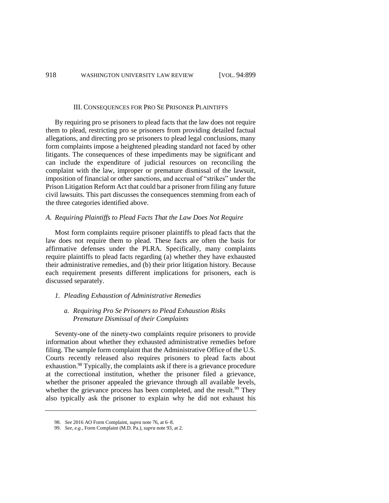#### III. CONSEQUENCES FOR PRO SE PRISONER PLAINTIFFS

By requiring pro se prisoners to plead facts that the law does not require them to plead, restricting pro se prisoners from providing detailed factual allegations, and directing pro se prisoners to plead legal conclusions, many form complaints impose a heightened pleading standard not faced by other litigants. The consequences of these impediments may be significant and can include the expenditure of judicial resources on reconciling the complaint with the law, improper or premature dismissal of the lawsuit, imposition of financial or other sanctions, and accrual of "strikes" under the Prison Litigation Reform Act that could bar a prisoner from filing any future civil lawsuits. This part discusses the consequences stemming from each of the three categories identified above.

### *A. Requiring Plaintiffs to Plead Facts That the Law Does Not Require*

Most form complaints require prisoner plaintiffs to plead facts that the law does not require them to plead. These facts are often the basis for affirmative defenses under the PLRA. Specifically, many complaints require plaintiffs to plead facts regarding (a) whether they have exhausted their administrative remedies, and (b) their prior litigation history. Because each requirement presents different implications for prisoners, each is discussed separately.

#### *1. Pleading Exhaustion of Administrative Remedies*

## *a. Requiring Pro Se Prisoners to Plead Exhaustion Risks Premature Dismissal of their Complaints*

Seventy-one of the ninety-two complaints require prisoners to provide information about whether they exhausted administrative remedies before filing. The sample form complaint that the Administrative Office of the U.S. Courts recently released also requires prisoners to plead facts about exhaustion.<sup>98</sup> Typically, the complaints ask if there is a grievance procedure at the correctional institution, whether the prisoner filed a grievance, whether the prisoner appealed the grievance through all available levels, whether the grievance process has been completed, and the result.<sup>99</sup> They also typically ask the prisoner to explain why he did not exhaust his

<sup>98.</sup> *See* 2016 AO Form Complaint, *supra* not[e 76,](#page-13-1) at 6–8.

<sup>99.</sup> *See, e.g.*, Form Complaint (M.D. Pa.), *supra* not[e 93,](#page-18-0) at 2.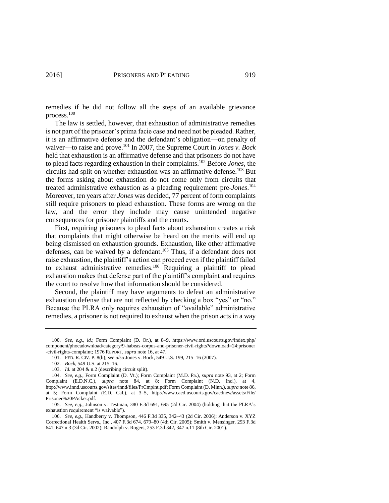<span id="page-20-0"></span>remedies if he did not follow all the steps of an available grievance process.<sup>100</sup>

The law is settled, however, that exhaustion of administrative remedies is not part of the prisoner's prima facie case and need not be pleaded. Rather, it is an affirmative defense and the defendant's obligation—on penalty of waiver—to raise and prove.<sup>101</sup> In 2007, the Supreme Court in *Jones v. Bock* held that exhaustion is an affirmative defense and that prisoners do not have to plead facts regarding exhaustion in their complaints. <sup>102</sup> Before *Jones*, the circuits had split on whether exhaustion was an affirmative defense.<sup>103</sup> But the forms asking about exhaustion do not come only from circuits that treated administrative exhaustion as a pleading requirement pre-*Jones*. 104 Moreover, ten years after *Jones* was decided, 77 percent of form complaints still require prisoners to plead exhaustion. These forms are wrong on the law, and the error they include may cause unintended negative consequences for prisoner plaintiffs and the courts.

<span id="page-20-1"></span>First, requiring prisoners to plead facts about exhaustion creates a risk that complaints that might otherwise be heard on the merits will end up being dismissed on exhaustion grounds. Exhaustion, like other affirmative defenses, can be waived by a defendant.<sup>105</sup> Thus, if a defendant does not raise exhaustion, the plaintiff's action can proceed even if the plaintiff failed to exhaust administrative remedies.<sup>106</sup> Requiring a plaintiff to plead exhaustion makes that defense part of the plaintiff's complaint and requires the court to resolve how that information should be considered.

Second, the plaintiff may have arguments to defeat an administrative exhaustion defense that are not reflected by checking a box "yes" or "no." Because the PLRA only requires exhaustion of "available" administrative remedies, a prisoner is not required to exhaust when the prison acts in a way

<sup>100.</sup> *See, e.g.*, *id.*; Form Complaint (D. Or.), at 8–9, https://www.ord.uscourts.gov/index.php/ component/phocadownload/category/9-habeas-corpus-and-prisoner-civil-rights?download=24:prisoner -civil-rights-complaint; 1976 REPORT, *supra* not[e 16,](#page-4-1) at 47.

<sup>101.</sup> FED. R. CIV. P. 8(b); *see also* Jones v. Bock, 549 U.S. 199, 215–16 (2007).

<sup>102.</sup> *Bock*, 549 U.S. at 215–16.

<sup>103.</sup> *Id.* at 204 & n.2 (describing circuit split).

<sup>104.</sup> *See, e.g.*, Form Complaint (D. Vt.); Form Complaint (M.D. Pa.), *supra* note [93,](#page-18-0) at 2; Form Complaint (E.D.N.C.), *supra* note [84,](#page-16-1) at 8; Form Complaint (N.D. Ind.), at 4, http://www.innd.uscourts.gov/sites/innd/files/PrCmplnt.pdf; Form Complaint (D. Minn.), *supra* not[e 86,](#page-16-2)  at 5; Form Complaint (E.D. Cal.), at 3–5, http://www.caed.uscourts.gov/caednew/assets/File/ Prisoner%20PAcket.pdf.

<sup>105.</sup> *See, e.g.*, Johnson v. Testman, 380 F.3d 691, 695 (2d Cir. 2004) (holding that the PLRA's exhaustion requirement "is waivable").

<sup>106.</sup> *See, e.g.*, Handberry v. Thompson, 446 F.3d 335, 342–43 (2d Cir. 2006); Anderson v. XYZ Correctional Health Servs., Inc., 407 F.3d 674, 679–80 (4th Cir. 2005); Smith v. Mensinger, 293 F.3d 641, 647 n.3 (3d Cir. 2002); Randolph v. Rogers, 253 F.3d 342, 347 n.11 (8th Cir. 2001).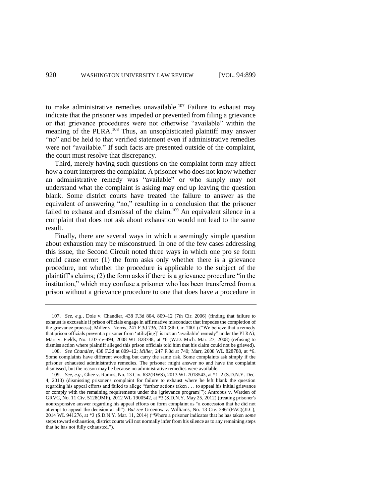<span id="page-21-1"></span><span id="page-21-0"></span>to make administrative remedies unavailable.<sup>107</sup> Failure to exhaust may indicate that the prisoner was impeded or prevented from filing a grievance or that grievance procedures were not otherwise "available" within the meaning of the PLRA.<sup>108</sup> Thus, an unsophisticated plaintiff may answer "no" and be held to that verified statement even if administrative remedies were not "available." If such facts are presented outside of the complaint, the court must resolve that discrepancy.

Third, merely having such questions on the complaint form may affect how a court interprets the complaint. A prisoner who does not know whether an administrative remedy was "available" or who simply may not understand what the complaint is asking may end up leaving the question blank. Some district courts have treated the failure to answer as the equivalent of answering "no," resulting in a conclusion that the prisoner failed to exhaust and dismissal of the claim.<sup>109</sup> An equivalent silence in a complaint that does not ask about exhaustion would not lead to the same result.

Finally, there are several ways in which a seemingly simple question about exhaustion may be misconstrued. In one of the few cases addressing this issue, the Second Circuit noted three ways in which one pro se form could cause error: (1) the form asks only whether there is a grievance procedure, not whether the procedure is applicable to the subject of the plaintiff's claims; (2) the form asks if there is a grievance procedure "in the institution," which may confuse a prisoner who has been transferred from a prison without a grievance procedure to one that does have a procedure in

<sup>107.</sup> *See, e.g.*, Dole v. Chandler, 438 F.3d 804, 809–12 (7th Cir. 2006) (finding that failure to exhaust is excusable if prison officials engage in affirmative misconduct that impedes the completion of the grievance process); Miller v. Norris, 247 F.3d 736, 740 (8th Cir. 2001) ("We believe that a remedy that prison officials prevent a prisoner from 'utiliz[ing]' is not an 'available' remedy" under the PLRA); Marr v. Fields, No. 1:07-cv-494, 2008 WL 828788, at \*6 (W.D. Mich. Mar. 27, 2008) (refusing to dismiss action where plaintiff alleged this prison officials told him that his claim could not be grieved). 108. *See Chandler*, 438 F.3d at 809–12; *Miller*, 247 F.3d at 740; Marr, 2008 WL 828788, at \*6.

Some complaints have different wording but carry the same risk. Some complaints ask simply if the prisoner exhausted administrative remedies. The prisoner might answer no and have the complaint dismissed, but the reason may be because no administrative remedies were available.

<sup>109.</sup> *See, e.g.*, Ghee v. Ramos*,* [No. 13 Civ. 632\(RWS\), 2013 WL 7018543, at \\*1–2 \(S.D.N.Y. Dec.](https://a.next.westlaw.com/Link/Document/FullText?findType=Y&serNum=2032560409&pubNum=0000999&originationContext=document&transitionType=DocumentItem&contextData=%28sc.Folder*cid.c53041d709b34e15a4eeb4a8a5e9092c*oc.Search%29)  [4, 2013\)](https://a.next.westlaw.com/Link/Document/FullText?findType=Y&serNum=2032560409&pubNum=0000999&originationContext=document&transitionType=DocumentItem&contextData=%28sc.Folder*cid.c53041d709b34e15a4eeb4a8a5e9092c*oc.Search%29) (dismissing prisoner's complaint for failure to exhaust where he left blank the question regarding his appeal efforts and failed to allege "further actions taken . . . to appeal his initial grievance or comply with the remaining requirements under the [grievance program]"); [Antrobus v. Warden of](https://a.next.westlaw.com/Link/Document/FullText?findType=Y&serNum=2027778838&pubNum=0000999&originationContext=document&transitionType=DocumentItem&contextData=%28sc.Folder*cid.c53041d709b34e15a4eeb4a8a5e9092c*oc.Search%29)  GRVC*,* [No. 11 Civ. 5128\(JMF\), 2012 WL 1900542, at \\*3 \(S.D.N.Y. May 25, 2012\)](https://a.next.westlaw.com/Link/Document/FullText?findType=Y&serNum=2027778838&pubNum=0000999&originationContext=document&transitionType=DocumentItem&contextData=%28sc.Folder*cid.c53041d709b34e15a4eeb4a8a5e9092c*oc.Search%29) (treating prisoner's nonresponsive answer regarding his appeal efforts on form complaint as "a concession that he did not attempt to appeal the decision at all"). *But see* Groenow v. Williams, No. 13 Civ. 3961(PAC)(JLC), 2014 WL 941276, at \*3 (S.D.N.Y. Mar. 11, 2014) ("Where a prisoner indicates that he has taken *some* steps toward exhaustion, district courts will not normally infer from his silence as to any remaining steps that he has not fully exhausted.").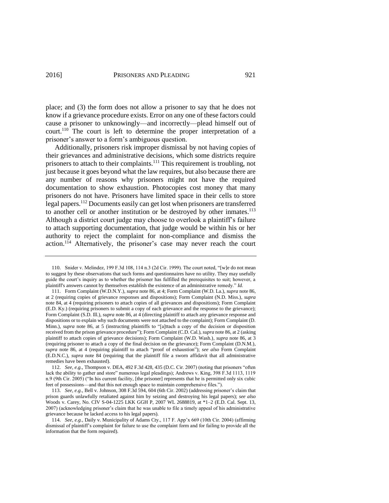place; and (3) the form does not allow a prisoner to say that he does not know if a grievance procedure exists. Error on any one of these factors could cause a prisoner to unknowingly—and incorrectly—plead himself out of court.<sup>110</sup> The court is left to determine the proper interpretation of a prisoner's answer to a form's ambiguous question.

<span id="page-22-0"></span>Additionally, prisoners risk improper dismissal by not having copies of their grievances and administrative decisions, which some districts require prisoners to attach to their complaints.<sup>111</sup> This requirement is troubling, not just because it goes beyond what the law requires, but also because there are any number of reasons why prisoners might not have the required documentation to show exhaustion. Photocopies cost money that many prisoners do not have. Prisoners have limited space in their cells to store legal papers.<sup>112</sup> Documents easily can get lost when prisoners are transferred to another cell or another institution or be destroyed by other inmates.<sup>113</sup> Although a district court judge may choose to overlook a plaintiff's failure to attach supporting documentation, that judge would be within his or her authority to reject the complaint for non-compliance and dismiss the action.<sup>114</sup> Alternatively, the prisoner's case may never reach the court

<sup>110.</sup> Snider v. Melindez, 199 F.3d 108, 114 n.3 (2d Cir. 1999). The court noted, "[w]e do not mean to suggest by these observations that such forms and questionnaires have no utility. They may usefully guide the court's inquiry as to whether the prisoner has fulfilled the prerequisites to suit; however, a plaintiff's answers cannot by themselves establish the existence of an administrative remedy." *Id.*

<sup>111.</sup> Form Complaint (W.D.N.Y.), *supra* not[e 86,](#page-16-2) at 4; Form Complaint (W.D. La.), *supra* not[e 86,](#page-16-2)  at 2 (requiring copies of grievance responses and dispositions); Form Complaint (N.D. Miss.), *supra* note [84,](#page-16-1) at 4 (requiring prisoners to attach copies of all grievances and dispositions); Form Complaint (E.D. Ky.) (requiring prisoners to submit a copy of each grievance and the response to the grievance); Form Complaint (S.D. Ill.), *supra* note 86, at 4 (directing plaintiff to attach any grievance response and dispositions or to explain why such documents were not attached to the complaint); Form Complaint (D. Minn.), *supra* note 86, at 5 (instructing plaintiffs to "[a]ttach a copy of the decision or disposition received from the prison grievance procedure"); Form Complaint (C.D. Cal.), *supra* note 86, at 2 (asking plaintiff to attach copies of grievance decisions); Form Complaint (W.D. Wash.), *supra* note 86, at 3 (requiring prisoner to attach a copy of the final decision on the grievance); Form Complaint (D.N.M.), *supra* note 86, at 4 (requiring plaintiff to attach "proof of exhaustion"); *see also* Form Complaint (E.D.N.C.), *supra* note [84](#page-16-1) (requiring that the plaintiff file a sworn affidavit that all administrative remedies have been exhausted).

<sup>112.</sup> *See, e.g.*, Thompson v. DEA, 492 F.3d 428, 435 (D.C. Cir. 2007) (noting that prisoners "often lack the ability to gather and store" numerous legal pleadings); Andrews v. King, 398 F.3d 1113, 1119 n.9 (9th Cir. 2005) ("In his current facility, [the prisoner] represents that he is permitted only six cubic feet of possessions—and that this not enough space to maintain comprehensive files.").

<sup>113.</sup> *See, e.g.*, Bell v. Johnson, 308 F.3d 594, 604 (6th Cir. 2002) (addressing prisoner's claim that prison guards unlawfully retaliated against him by seizing and destroying his legal papers); *see also*  Woods v. Carey, No. CIV S-04-1225 LKK GGH P, 2007 WL 2688819, at \*1–2 (E.D. Cal. Sept. 13, 2007) (acknowledging prisoner's claim that he was unable to file a timely appeal of his administrative grievance because he lacked access to his legal papers).

<sup>114.</sup> *See, e.g.*, Daily v. Municipality of Adams Cty., 117 F. App'x 669 (10th Cir. 2004) (affirming dismissal of plaintiff's complaint for failure to use the complaint form and for failing to provide all the information that the form required).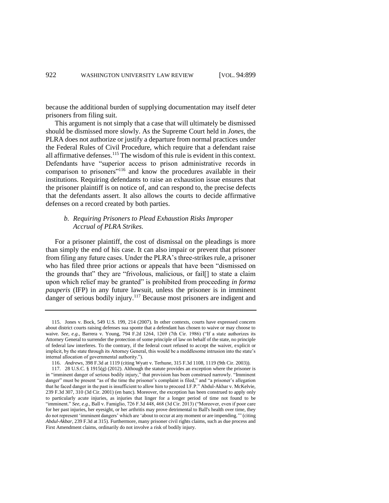because the additional burden of supplying documentation may itself deter prisoners from filing suit.

This argument is not simply that a case that will ultimately be dismissed should be dismissed more slowly. As the Supreme Court held in *Jones*, the PLRA does not authorize or justify a departure from normal practices under the Federal Rules of Civil Procedure, which require that a defendant raise all affirmative defenses.<sup>115</sup> The wisdom of this rule is evident in this context. Defendants have "superior access to prison administrative records in comparison to prisoners"<sup>116</sup> and know the procedures available in their institutions. Requiring defendants to raise an exhaustion issue ensures that the prisoner plaintiff is on notice of, and can respond to, the precise defects that the defendants assert. It also allows the courts to decide affirmative defenses on a record created by both parties.

# *b. Requiring Prisoners to Plead Exhaustion Risks Improper Accrual of PLRA Strikes.*

For a prisoner plaintiff, the cost of dismissal on the pleadings is more than simply the end of his case. It can also impair or prevent that prisoner from filing any future cases. Under the PLRA's three-strikes rule, a prisoner who has filed three prior actions or appeals that have been "dismissed on the grounds that" they are "frivolous, malicious, or fail[] to state a claim upon which relief may be granted" is prohibited from proceeding *in forma pauperis* (IFP) in any future lawsuit, unless the prisoner is in imminent danger of serious bodily injury.<sup>117</sup> Because most prisoners are indigent and

<sup>115.</sup> Jones v. Bock, 549 U.S. 199, 214 (2007). In other contexts, courts have expressed concern about district courts raising defenses sua sponte that a defendant has chosen to waive or may choose to waive. *See, e.g.*, Barrera v. Young, 794 F.2d 1264, 1269 (7th Cir. 1986) ("If a state authorizes its Attorney General to surrender the protection of some principle of law on behalf of the state, no principle of federal law interferes. To the contrary, if the federal court refused to accept the waiver, explicit or implicit, by the state through its Attorney General, this would be a meddlesome intrusion into the state's internal allocation of governmental authority.").

<sup>116.</sup> *Andrews*, 398 F.3d at 1119 (citing Wyatt v. Terhune, 315 F.3d 1108, 1119 (9th Cir. 2003)).

<sup>117.</sup> 28 U.S.C. § 1915(g) (2012). Although the statute provides an exception where the prisoner is in "imminent danger of serious bodily injury," that provision has been construed narrowly. "Imminent danger" must be present "as of the time the prisoner's complaint is filed," and "a prisoner's allegation that he faced danger in the past is insufficient to allow him to proceed I.F.P." Abdul-Akbar v. McKelvie, 239 F.3d 307, 310 (3d Cir. 2001) (en banc). Moreover, the exception has been construed to apply only to particularly acute injuries, as injuries that linger for a longer period of time not found to be "imminent." *See, e.g.*, Ball v. Famiglio, 726 F.3d 448, 468 (3d Cir. 2013) ("Moreover, even if poor care for her past injuries, her eyesight, or he[r arthritis](https://a.next.westlaw.com/Link/Document/FullText?entityType=disease&entityId=Ib159d168475411db9765f9243f53508a&originationContext=document&transitionType=DocumentItem&contextData=%28sc.Default%29) may prove detrimental to Ball's health over time, they do not represent 'imminent dangers' which are 'about to occur at any moment or are impending.'" (citing *Abdul-Akbar*, 239 F.3d at 315). Furthermore, many prisoner civil rights claims, such as due process and First Amendment claims, ordinarily do not involve a risk of bodily injury.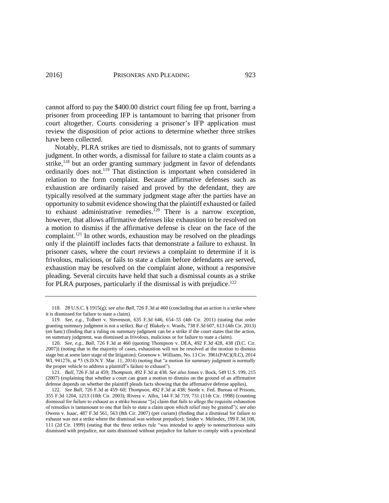cannot afford to pay the \$400.00 district court filing fee up front, barring a prisoner from proceeding IFP is tantamount to barring that prisoner from court altogether. Courts considering a prisoner's IFP application must review the disposition of prior actions to determine whether three strikes have been collected.

Notably, PLRA strikes are tied to dismissals, not to grants of summary judgment. In other words, a dismissal for failure to state a claim counts as a strike,<sup>118</sup> but an order granting summary judgment in favor of defendants ordinarily does not.<sup>119</sup> That distinction is important when considered in relation to the form complaint. Because affirmative defenses such as exhaustion are ordinarily raised and proved by the defendant, they are typically resolved at the summary judgment stage after the parties have an opportunity to submit evidence showing that the plaintiff exhausted or failed to exhaust administrative remedies.<sup>120</sup> There is a narrow exception, however, that allows affirmative defenses like exhaustion to be resolved on a motion to dismiss if the affirmative defense is clear on the face of the complaint.<sup>121</sup> In other words, exhaustion may be resolved on the pleadings only if the plaintiff includes facts that demonstrate a failure to exhaust. In prisoner cases, where the court reviews a complaint to determine if it is frivolous, malicious, or fails to state a claim before defendants are served, exhaustion may be resolved on the complaint alone, without a responsive pleading. Several circuits have held that such a dismissal counts as a strike for PLRA purposes, particularly if the dismissal is with prejudice.<sup>122</sup>

<sup>118.</sup> 28 U.S.C. § 1915(g); *see also Ball*, 726 F.3d at 460 (concluding that an action is a strike where it is dismissed for failure to state a claim).

<sup>119.</sup> *See, e.g.*, Tolbert v. Stevenson, 635 F.3d 646, 654–55 (4th Cir. 2011) (stating that order granting summary judgment is not a strike). *But cf.* Blakely v. Wards, 738 F.3d 607, 613 (4th Cir. 2013) (en banc) (finding that a ruling on summary judgment can be a strike if the court states that the action, on summary judgment, was dismissed as frivolous, malicious or for failure to state a claim).

<sup>120.</sup> *See, e.g.*, *Ball*, 726 F.3d at 460 (quoting Thompson v. DEA, 492 F.3d 428, 438 (D.C. Cir. 2007)) (noting that in the majority of cases, exhaustion will not be resolved at the motion to dismiss stage but at some later stage of the litigation); Groenow v. Williams, No. 13 Civ. 3961(PAC)(JLC), 2014 WL 941276, at \*3 (S.D.N.Y. Mar. 11, 2014) (noting that "a motion for summary judgment is normally the proper vehicle to address a plaintiff's failure to exhaust").

<sup>121.</sup> *Ball*, 726 F.3d at 459; *Thompson*, 492 F.3d at 438*. See also* Jones v. Bock, 549 U.S. 199, 215 (2007) (explaining that whether a court can grant a motion to dismiss on the ground of an affirmative defense depends on whether the plaintiff pleads facts showing that the affirmative defense applies).

<sup>122.</sup> *See Ball*, 726 F.3d at 459–60; *Thompson*, 492 F.3d at 438; Steele v. Fed. Bureau of Prisons, 355 F.3d 1204, 1213 (10th Cir. 2003); Rivera v. Allin, 144 F.3d 719, 731 (11th Cir. 1998) (counting dismissal for failure to exhaust as a strike because "[a] claim that fails to allege the requisite exhaustion of remedies is tantamount to one that fails to state a claim upon which relief may be granted"); *see also*  [Owens v. Isaac](http://www.westlaw.com/Find/Default.wl?rs=dfa1.0&vr=2.0&DB=506&FindType=Y&ReferencePositionType=S&SerialNum=2012406830&ReferencePosition=563)*,* [487 F.3d 561, 563 \(8th Cir. 2007\)](http://www.westlaw.com/Find/Default.wl?rs=dfa1.0&vr=2.0&DB=506&FindType=Y&ReferencePositionType=S&SerialNum=2012406830&ReferencePosition=563) (per curiam) (finding that a dismissal for failure to exhaust was not a strike where the dismissal was without prejudice); Snider v. Melindez, 199 F.3d 108, 111 (2d Cir. 1999) (stating that the three strikes rule "was intended to apply to nonmeritorious suits dismissed with prejudice, not suits dismissed without prejudice for failure to comply with a procedural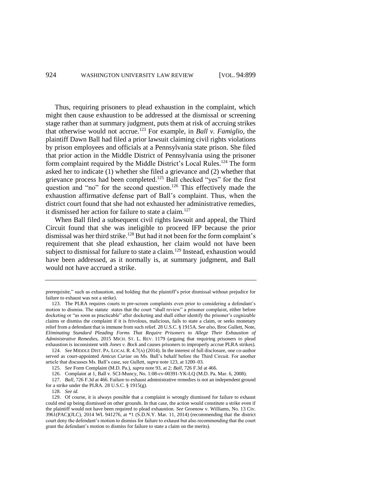<span id="page-25-0"></span>Thus, requiring prisoners to plead exhaustion in the complaint, which might then cause exhaustion to be addressed at the dismissal or screening stage rather than at summary judgment, puts them at risk of accruing strikes that otherwise would not accrue.<sup>123</sup> For example, in *Ball v. Famiglio*, the plaintiff Dawn Ball had filed a prior lawsuit claiming civil rights violations by prison employees and officials at a Pennsylvania state prison. She filed that prior action in the Middle District of Pennsylvania using the prisoner form complaint required by the Middle District's Local Rules.<sup>124</sup> The form asked her to indicate (1) whether she filed a grievance and (2) whether that grievance process had been completed.<sup>125</sup> Ball checked "yes" for the first question and "no" for the second question.<sup>126</sup> This effectively made the exhaustion affirmative defense part of Ball's complaint. Thus, when the district court found that she had not exhausted her administrative remedies, it dismissed her action for failure to state a claim.<sup>127</sup>

When Ball filed a subsequent civil rights lawsuit and appeal, the Third Circuit found that she was ineligible to proceed IFP because the prior dismissal was her third strike.<sup>128</sup> But had it not been for the form complaint's requirement that she plead exhaustion, her claim would not have been subject to dismissal for failure to state a claim.<sup>129</sup> Instead, exhaustion would have been addressed, as it normally is, at summary judgment, and Ball would not have accrued a strike.

prerequisite," such as exhaustion, and holding that the plaintiff's prior dismissal without prejudice for failure to exhaust was not a strike).

<sup>123</sup>*.* The PLRA requires courts to pre-screen complaints even prior to considering a defendant's motion to dismiss. The statute states that the court "shall review" a prisoner complaint, either before docketing or "as soon as practicable" after docketing and shall either identify the prisoner's cognizable claims or dismiss the complaint if it is frivolous, malicious, fails to state a claim, or seeks monetary relief from a defendant that is immune from such relief. 28 U.S.C. § 1915A. *See also*, Broc Gullett, Note, *Eliminating Standard Pleading Forms That Require Prisoners to Allege Their Exhaustion of Administrative Remedies*, 2015 MICH. ST. L. REV. 1179 (arguing that requiring prisoners to plead exhaustion is inconsistent with *Jones v. Bock* and causes prisoners to improperly accrue PLRA strikes).

<sup>124.</sup> *See* MIDDLE DIST. PA. LOCAL R. 4.7(A) (2014). In the interest of full disclosure, one co-author served as court-appointed *Amicus Curiae* on Ms. Ball's behalf before the Third Circuit. For another article that discusses Ms. Ball's case, see Gullett, *supra* not[e 123,](#page-25-0) at 1200–03.

<sup>125.</sup> *See* Form Complaint (M.D. Pa.), *supra* not[e 93,](#page-18-0) at 2; *Ball*, 726 F.3d at 466.

<sup>126.</sup> Complaint at 1, Ball v. SCI-Muncy, No. 1:08-cv-00391-YK-LQ (M.D. Pa. Mar. 6, 2008).

<sup>127.</sup> *Ball*, 726 F.3d at 466. Failure to exhaust administrative remedies is not an independent ground for a strike under the PLRA. 28 U.S.C. § 1915(g).

<sup>128.</sup> *See id.*

<sup>129.</sup> Of course, it is always possible that a complaint is wrongly dismissed for failure to exhaust could end up being dismissed on other grounds. In that case, the action would constitute a strike even if the plaintiff would not have been required to plead exhaustion. *See* Groenow v. Williams, No. 13 Civ. 3961(PAC)(JLC), 2014 WL 941276, at \*1 (S.D.N.Y. Mar. 11, 2014) (recommending that the district court deny the defendant's motion to dismiss for failure to exhaust but also recommending that the court grant the defendant's motion to dismiss for failure to state a claim on the merits).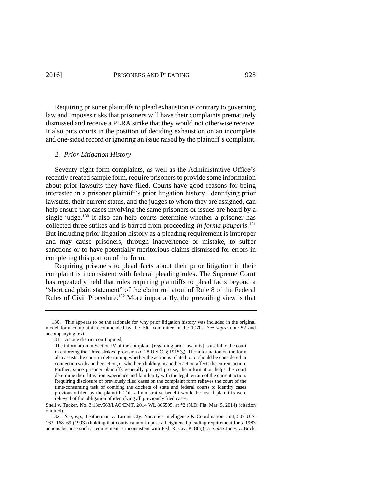Requiring prisoner plaintiffs to plead exhaustion is contrary to governing law and imposes risks that prisoners will have their complaints prematurely dismissed and receive a PLRA strike that they would not otherwise receive. It also puts courts in the position of deciding exhaustion on an incomplete and one-sided record or ignoring an issue raised by the plaintiff's complaint.

### *2. Prior Litigation History*

Seventy-eight form complaints, as well as the Administrative Office's recently created sample form, require prisoners to provide some information about prior lawsuits they have filed. Courts have good reasons for being interested in a prisoner plaintiff's prior litigation history. Identifying prior lawsuits, their current status, and the judges to whom they are assigned, can help ensure that cases involving the same prisoners or issues are heard by a single judge.<sup>130</sup> It also can help courts determine whether a prisoner has collected three strikes and is barred from proceeding *in forma pauperis*. 131 But including prior litigation history as a pleading requirement is improper and may cause prisoners, through inadvertence or mistake, to suffer sanctions or to have potentially meritorious claims dismissed for errors in completing this portion of the form.

Requiring prisoners to plead facts about their prior litigation in their complaint is inconsistent with federal pleading rules. The Supreme Court has repeatedly held that rules requiring plaintiffs to plead facts beyond a "short and plain statement" of the claim run afoul of Rule 8 of the Federal Rules of Civil Procedure.<sup>132</sup> More importantly, the prevailing view is that

<sup>130.</sup> This appears to be the rationale for why prior litigation history was included in the original model form complaint recommended by the FJC committee in the 1970s. *See supra* note [52](#page-11-0) and accompanying text.

<sup>131.</sup> As one district court opined,

The information in Section IV of the complaint [regarding prior lawsuits] is useful to the court in enforcing the 'three strikes' provision of [28 U.S.C. § 1915\(g\).](https://a.next.westlaw.com/Link/Document/FullText?findType=L&pubNum=1000546&cite=28USCAS1915&originationContext=document&transitionType=DocumentItem&contextData=%28sc.Folder*cid.4f077ff466164abe9450dcc1194b784b*oc.Search%29#co_pp_16f4000091d86) The information on the form also assists the court in determining whether the action is related to or should be considered in connection with another action, or whether a holding in another action affects the current action. Further, since prisoner plaintiffs generally proceed pro se, the information helps the court determine their litigation experience and familiarity with the legal terrain of the current action. Requiring disclosure of previously filed cases on the complaint form relieves the court of the time-consuming task of combing the dockets of state and federal courts to identify cases previously filed by the plaintiff. This administrative benefit would be lost if plaintiffs were relieved of the obligation of identifying all previously filed cases.

Snell v. Tucker, No. 3:13cv563/LAC/EMT, 2014 WL 866505, at \*2 (N.D. Fla. Mar. 5, 2014) (citation omitted).

<sup>132.</sup> *See, e.g.*, Leatherman v. Tarrant Cty. Narcotics Intelligence & Coordination Unit, 507 U.S. 163, 168–69 (1993) (holding that courts cannot impose a heightened pleading requirement for § 1983 actions because such a requirement is inconsistent with Fed. R. Civ. P. 8(a)); *see also* Jones v. Bock,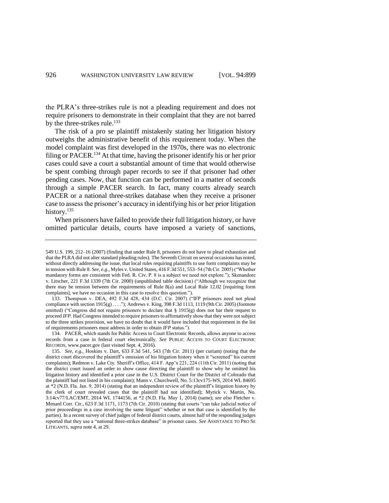the PLRA's three-strikes rule is not a pleading requirement and does not require prisoners to demonstrate in their complaint that they are not barred by the three-strikes rule.<sup>133</sup>

The risk of a pro se plaintiff mistakenly stating her litigation history outweighs the administrative benefit of this requirement today. When the model complaint was first developed in the 1970s, there was no electronic filing or  $PACER$ <sup>134</sup> At that time, having the prisoner identify his or her prior cases could save a court a substantial amount of time that would otherwise be spent combing through paper records to see if that prisoner had other pending cases. Now, that function can be performed in a matter of seconds through a simple PACER search. In fact, many courts already search PACER or a national three-strikes database when they receive a prisoner case to assess the prisoner's accuracy in identifying his or her prior litigation history.<sup>135</sup>

<span id="page-27-0"></span>When prisoners have failed to provide their full litigation history, or have omitted particular details, courts have imposed a variety of sanctions,

<sup>549</sup> U.S. 199, 212–16 (2007) (finding that under Rule 8, prisoners do not have to plead exhaustion and that the PLRA did not alter standard pleading rules). The Seventh Circuit on several occasions has noted, without directly addressing the issue, that local rules requiring plaintiffs to use form complaints may be in tension with Rule 8. *See, e.g.*, Myles v. United States, 416 F.3d 551, 553–54 (7th Cir. 2005) ("Whether mandatory forms are consistent with Fed. R. Civ. P. 8 is a subject we need not explore."); Skenandore v. Litscher, 221 F.3d 1339 (7th Cir. 2000) (unpublished table decision) ("Although we recognize that there may be tension between the requirements of Rule 8(a) and Local Rule 12.02 [requiring form complaints], we have no occasion in this case to resolve this question.").

<sup>133.</sup> Thompson v. DEA, 492 F.3d 428, 434 (D.C. Cir. 2007) ("IFP prisoners need not plead compliance wit[h section 1915\(g\)](https://a.next.westlaw.com/Link/Document/FullText?findType=L&pubNum=1000546&cite=28USCAS1915&originationContext=document&transitionType=DocumentItem&contextData=%28sc.UserEnteredCitation%29#co_pp_16f4000091d86) . . . ."); Andrews v. King, 398 F.3d 1113, 1119 (9th Cir. 2005) (footnote omitted) ("Congress did not require prisoners to declare that  $\S$  1915(g) does not bar their request to proceed *IFP.* Had Congress intended to require prisoners to affirmatively show that they were not subject to the three strikes provision, we have no doubt that it would have included that requirement in the list of requirements prisoners must address in order to obtain *IFP* status.").

<sup>134.</sup> PACER, which stands for Public Access to Court Electronic Records, allows anyone to access records from a case in federal court electronically. *See* PUBLIC ACCESS TO COURT ELECTRONIC RECORDS, www.pacer.gov (last visited Sept. 4, 2016).

<sup>135.</sup> *See, e.g.*, Hoskins v. Dart, 633 F.3d 541, 543 (7th Cir. 2011) (per curiam) (noting that the district court discovered the plaintiff's omission of his litigation history when it "screened" his current complaints); Redmon v. Lake Cty. Sheriff's Office, 414 F. App'x 221, 224 (11th Cir. 2011) (noting that the district court issued an order to show cause directing the plaintiff to show why he omitted his litigation history and identified a prior case in the U.S. District Court for the District of Colorado that the plaintiff had not listed in his complaint); Mann v. Churchwell, No. 5:13cv175-WS, 2014 WL 84695 at \*2 (N.D. Fla. Jan. 9, 2014) (stating that an independent review of the plaintiff's litigation history by the clerk of court revealed cases that the plaintiff had not identified); Myrick v. Martin, No. 3:14cv77/LAC/EMT, 2014 WL 1744156, at \*2 (N.D. Fla. May 1, 2014) (same); *see also* Fletcher v. Menard Corr. Ctr., 623 F.3d 1171, 1173 (7th Cir. 2010) (stating that courts "can take judicial notice of prior proceedings in a case involving the same litigant" whether or not that case is identified by the parties). In a recent survey of chief judges of federal district courts, almost half of the responding judges reported that they use a "national three-strikes database" in prisoner cases. *See* ASSISTANCE TO PRO SE LITIGANTS, *supra* not[e 4,](#page-2-0) at 29.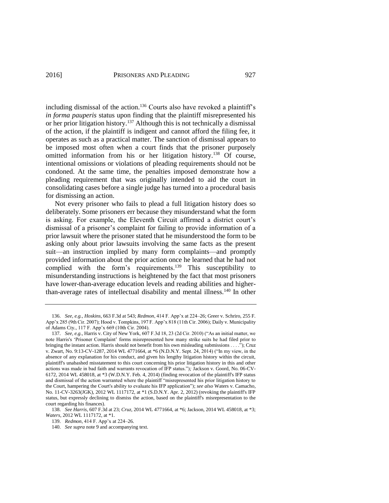including dismissal of the action.<sup>136</sup> Courts also have revoked a plaintiff's *in forma pauperis* status upon finding that the plaintiff misrepresented his or her prior litigation history.<sup>137</sup> Although this is not technically a dismissal of the action, if the plaintiff is indigent and cannot afford the filing fee, it operates as such as a practical matter. The sanction of dismissal appears to be imposed most often when a court finds that the prisoner purposely omitted information from his or her litigation history.<sup>138</sup> Of course, intentional omissions or violations of pleading requirements should not be condoned. At the same time, the penalties imposed demonstrate how a pleading requirement that was originally intended to aid the court in consolidating cases before a single judge has turned into a procedural basis for dismissing an action.

Not every prisoner who fails to plead a full litigation history does so deliberately. Some prisoners err because they misunderstand what the form is asking. For example, the Eleventh Circuit affirmed a district court's dismissal of a prisoner's complaint for failing to provide information of a prior lawsuit where the prisoner stated that he misunderstood the form to be asking only about prior lawsuits involving the same facts as the present suit—an instruction implied by many form complaints—and promptly provided information about the prior action once he learned that he had not complied with the form's requirements.<sup>139</sup> This susceptibility to misunderstanding instructions is heightened by the fact that most prisoners have lower-than-average education levels and reading abilities and higherthan-average rates of intellectual disability and mental illness.<sup>140</sup> In other

<sup>136.</sup> *See, e.g.*, *Hoskins*, 663 F.3d at 543; *Redmon*, 414 F. App'x at 224–26; Greer v. Schriro, 255 F. App'x 285 (9th Cir. 2007); Hood v. Tompkins, 197 F. App'x 818 (11th Cir. 2006); Daily v. Municipality of Adams Cty., 117 F. App'x 669 (10th Cir. 2004).

<sup>137.</sup> *See, e.g.*, Harris v. City of New York, 607 F.3d 18, 23 (2d Cir. 2010) ("As an initial matter, we note Harris's 'Prisoner Complaint' forms misrepresented how many strike suits he had filed prior to bringing the instant action. Harris should not benefit from his own misleading submissions . . . ."); Cruz v. Zwart, No. 9:13-CV-1287, 2014 WL 4771664, at \*6 (N.D.N.Y. Sept. 24, 2014) ("In my view, in the absence of any explanation for his conduct, and given his lengthy litigation history within the circuit, plaintiff's unabashed misstatement to this court concerning his prior litigation history in this and other actions was made in bad faith and warrants revocation of IFP status.")*;* Jackson v. Goord*,* No. 06-CV-6172, 2014 WL 458018, at \*3 (W.D.N.Y. Feb. 4, 2014) (finding revocation of the plaintiff's IFP status and dismissal of the action warranted where the plaintiff "misrepresented his prior litigation history to the Court, hampering the Court's ability to evaluate his IFP application"); *see also* Waters v. Camacho*,* No. 11-CV-3263(JGK), 2012 WL 1117172, at \*1 (S.D.N.Y. Apr. 2, 2012) (revoking the plaintiff's IFP status, but expressly declining to dismiss the action, based on the plaintiff's misrepresentation to the court regarding his finances).

<sup>138.</sup> *See Harris*, 607 F.3d at 23; *Cruz*, 2014 WL 4771664, at \*6; Jackson, 2014 WL 458018, at \*3; *Waters*, 2012 WL 1117172, at \*1.

<sup>139.</sup> *Redmon*, 414 F. App'x at 224–26.

<sup>140.</sup> *See supra* not[e 9](#page-3-1) and accompanying text.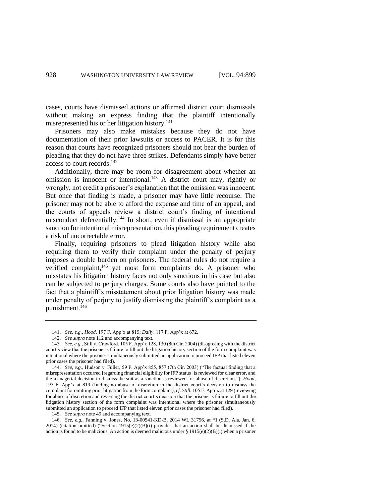cases, courts have dismissed actions or affirmed district court dismissals without making an express finding that the plaintiff intentionally misrepresented his or her litigation history. $141$ 

Prisoners may also make mistakes because they do not have documentation of their prior lawsuits or access to PACER. It is for this reason that courts have recognized prisoners should not bear the burden of pleading that they do not have three strikes. Defendants simply have better access to court records.<sup>142</sup>

Additionally, there may be room for disagreement about whether an omission is innocent or intentional.<sup>143</sup> A district court may, rightly or wrongly, not credit a prisoner's explanation that the omission was innocent. But once that finding is made, a prisoner may have little recourse. The prisoner may not be able to afford the expense and time of an appeal, and the courts of appeals review a district court's finding of intentional misconduct deferentially.<sup>144</sup> In short, even if dismissal is an appropriate sanction for intentional misrepresentation, this pleading requirement creates a risk of uncorrectable error.

<span id="page-29-0"></span>Finally, requiring prisoners to plead litigation history while also requiring them to verify their complaint under the penalty of perjury imposes a double burden on prisoners. The federal rules do not require a verified complaint,<sup>145</sup> yet most form complaints do. A prisoner who misstates his litigation history faces not only sanctions in his case but also can be subjected to perjury charges. Some courts also have pointed to the fact that a plaintiff's misstatement about prior litigation history was made under penalty of perjury to justify dismissing the plaintiff's complaint as a punishment.<sup>146</sup>

<span id="page-29-1"></span><sup>141.</sup> *See, e.g.*, *Hood*, 197 F. App'x at 819; *Daily*, 117 F. App'x at 672.

<sup>142.</sup> *See supra* not[e 112](#page-22-0) and accompanying text.

<sup>143.</sup> *See, e.g.*, Still v. Crawford, 105 F. App'x 128, 130 (8th Cir. 2004) (disagreeing with the district court's view that the prisoner's failure to fill out the litigation history section of the form complaint was intentional where the prisoner simultaneously submitted an application to proceed IFP that listed eleven prior cases the prisoner had filed).

<sup>144.</sup> *See, e.g.*, Hudson v. Fuller, 59 F. App'x 855, 857 (7th Cir. 2003) ("The factual finding that a misrepresentation occurred [regarding financial eligibility for IFP status] is reviewed for clear error, and the managerial decision to dismiss the suit as a sanction is reviewed for abuse of discretion."); *Hood*, 197 F. App'x at 819 (finding no abuse of discretion in the district court's decision to dismiss the complaint for omitting prior litigation from the form complaint); *cf. Still*, 105 F. App'x at 129 (reviewing for abuse of discretion and reversing the district court's decision that the prisoner's failure to fill out the litigation history section of the form complaint was intentional where the prisoner simultaneously submitted an application to proceed IFP that listed eleven prior cases the prisoner had filed).

<sup>145.</sup> *See supra* not[e 49](#page-10-0) and accompanying text.

<sup>146.</sup> *See, e.g.*, Fanning v. Jones, No. 13-00541-KD-B, 2014 WL 31796, at \*1 (S.D. Ala. Jan. 6, 2014) (citation omitted) ("Section 1915(e)(2)(B)(i) provides that an action shall be dismissed if the action is found to be malicious. An action is deemed malicious under § 1915(e)(2)(B)(i) when a prisoner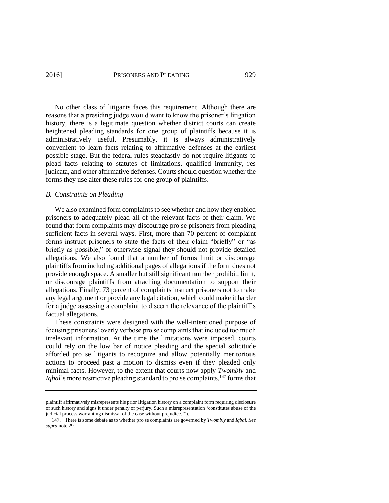No other class of litigants faces this requirement. Although there are reasons that a presiding judge would want to know the prisoner's litigation history, there is a legitimate question whether district courts can create heightened pleading standards for one group of plaintiffs because it is administratively useful. Presumably, it is always administratively convenient to learn facts relating to affirmative defenses at the earliest possible stage. But the federal rules steadfastly do not require litigants to plead facts relating to statutes of limitations, qualified immunity, res judicata, and other affirmative defenses. Courts should question whether the forms they use alter these rules for one group of plaintiffs.

#### *B. Constraints on Pleading*

We also examined form complaints to see whether and how they enabled prisoners to adequately plead all of the relevant facts of their claim. We found that form complaints may discourage pro se prisoners from pleading sufficient facts in several ways. First, more than 70 percent of complaint forms instruct prisoners to state the facts of their claim "briefly" or "as briefly as possible," or otherwise signal they should not provide detailed allegations. We also found that a number of forms limit or discourage plaintiffs from including additional pages of allegations if the form does not provide enough space. A smaller but still significant number prohibit, limit, or discourage plaintiffs from attaching documentation to support their allegations. Finally, 73 percent of complaints instruct prisoners not to make any legal argument or provide any legal citation, which could make it harder for a judge assessing a complaint to discern the relevance of the plaintiff's factual allegations.

These constraints were designed with the well-intentioned purpose of focusing prisoners' overly verbose pro se complaints that included too much irrelevant information. At the time the limitations were imposed, courts could rely on the low bar of notice pleading and the special solicitude afforded pro se litigants to recognize and allow potentially meritorious actions to proceed past a motion to dismiss even if they pleaded only minimal facts. However, to the extent that courts now apply *Twombly* and *Iqbal*'s more restrictive pleading standard to pro se complaints,<sup>147</sup> forms that

plaintiff affirmatively misrepresents his prior litigation history on a complaint form requiring disclosure of such history and signs it under penalty of perjury. Such a misrepresentation 'constitutes abuse of the judicial process warranting dismissal of the case without prejudice.'").

<sup>147.</sup> There is some debate as to whether pro se complaints are governed by *Twombly* and *Iqbal*. *See supra* not[e 29.](#page-6-0)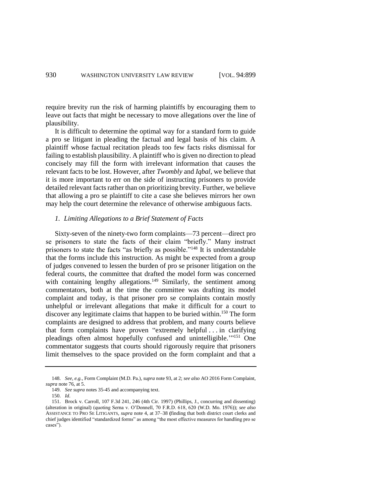require brevity run the risk of harming plaintiffs by encouraging them to leave out facts that might be necessary to move allegations over the line of plausibility.

It is difficult to determine the optimal way for a standard form to guide a pro se litigant in pleading the factual and legal basis of his claim. A plaintiff whose factual recitation pleads too few facts risks dismissal for failing to establish plausibility. A plaintiff who is given no direction to plead concisely may fill the form with irrelevant information that causes the relevant facts to be lost. However, after *Twombly* and *Iqbal*, we believe that it is more important to err on the side of instructing prisoners to provide detailed relevant facts rather than on prioritizing brevity. Further, we believe that allowing a pro se plaintiff to cite a case she believes mirrors her own may help the court determine the relevance of otherwise ambiguous facts.

#### *1. Limiting Allegations to a Brief Statement of Facts*

Sixty-seven of the ninety-two form complaints—73 percent—direct pro se prisoners to state the facts of their claim "briefly." Many instruct prisoners to state the facts "as briefly as possible."<sup>148</sup> It is understandable that the forms include this instruction. As might be expected from a group of judges convened to lessen the burden of pro se prisoner litigation on the federal courts, the committee that drafted the model form was concerned with containing lengthy allegations.<sup>149</sup> Similarly, the sentiment among commentators, both at the time the committee was drafting its model complaint and today, is that prisoner pro se complaints contain mostly unhelpful or irrelevant allegations that make it difficult for a court to discover any legitimate claims that happen to be buried within.<sup>150</sup> The form complaints are designed to address that problem, and many courts believe that form complaints have proven "extremely helpful . . . in clarifying pleadings often almost hopefully confused and unintelligible."<sup>151</sup> One commentator suggests that courts should rigorously require that prisoners limit themselves to the space provided on the form complaint and that a

<sup>148.</sup> *See, e.g.*, Form Complaint (M.D. Pa.), *supra* not[e 93,](#page-18-0) at 2; *see also* AO 2016 Form Complaint, *supra* not[e 76,](#page-13-1) at 5.

<sup>149.</sup> *See supra* notes 35-45 and accompanying text.

<sup>150.</sup> *Id*.

<sup>151.</sup> Brock v. Carroll, 107 F.3d 241, 246 (4th Cir. 1997) (Phillips, J., concurring and dissenting) (alteration in original) (quoting Serna v. O'Donnell, 70 F.R.D. 618, 620 (W.D. Mo. 1976)); *see also*  ASSISTANCE TO PRO SE LITIGANTS, *supra* not[e 4,](#page-2-0) at 37–38 **(**finding that both district court clerks and chief judges identified "standardized forms" as among "the most effective measures for handling pro se cases").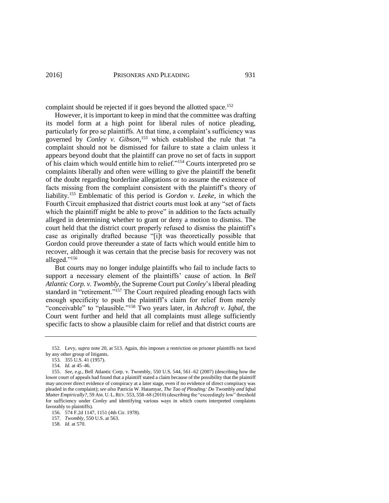complaint should be rejected if it goes beyond the allotted space.<sup>152</sup>

However, it is important to keep in mind that the committee was drafting its model form at a high point for liberal rules of notice pleading, particularly for pro se plaintiffs. At that time, a complaint's sufficiency was governed by *Conley v. Gibson*, <sup>153</sup> which established the rule that "a complaint should not be dismissed for failure to state a claim unless it appears beyond doubt that the plaintiff can prove no set of facts in support of his claim which would entitle him to relief."<sup>154</sup> Courts interpreted pro se complaints liberally and often were willing to give the plaintiff the benefit of the doubt regarding borderline allegations or to assume the existence of facts missing from the complaint consistent with the plaintiff's theory of liability.<sup>155</sup> Emblematic of this period is *Gordon v. Leeke*, in which the Fourth Circuit emphasized that district courts must look at any "set of facts which the plaintiff might be able to prove" in addition to the facts actually alleged in determining whether to grant or deny a motion to dismiss. The court held that the district court properly refused to dismiss the plaintiff's case as originally drafted because "[i]t was theoretically possible that Gordon could prove thereunder a state of facts which would entitle him to recover, although it was certain that the precise basis for recovery was not alleged."<sup>156</sup>

<span id="page-32-0"></span>But courts may no longer indulge plaintiffs who fail to include facts to support a necessary element of the plaintiffs' cause of action. In *Bell Atlantic Corp. v. Twombly*, the Supreme Court put *Conley*'s liberal pleading standard in "retirement."<sup>157</sup> The Court required pleading enough facts with enough specificity to push the plaintiff's claim for relief from merely "conceivable" to "plausible."<sup>158</sup> Two years later, in *Ashcroft v. Iqbal*, the Court went further and held that all complaints must allege sufficiently specific facts to show a plausible claim for relief and that district courts are

<sup>152.</sup> Levy, *supra* not[e 20,](#page-5-0) at 513. Again, this imposes a restriction on prisoner plaintiffs not faced by any other group of litigants.

<sup>153.</sup> 355 U.S. 41 (1957).

<sup>154.</sup> *Id.* at 45–46.

<sup>155.</sup> *See, e.g.*, Bell Atlantic Corp. v. Twombly, 550 U.S. 544, 561–62 (2007) (describing how the lower court of appeals had found that a plaintiff stated a claim because of the possibility that the plaintiff may uncover direct evidence of conspiracy at a later stage, even if no evidence of direct conspiracy was pleaded in the complaint); *see also* Patricia W. Hatamyar, *The Tao of Pleading: Do* Twombly *and* Iqbal *Matter Empirically?*, 59 AM. U. L. REV. 553, 558–68 (2010) (describing the "exceedingly low" threshold for sufficiency under *Conley* and identifying various ways in which courts interpreted complaints favorably to plaintiffs).

<sup>156.</sup> 574 F.2d 1147, 1151 (4th Cir. 1978).

<sup>157.</sup> *Twombly*, 550 U.S. at 563.

<sup>158.</sup> *Id.* at 570.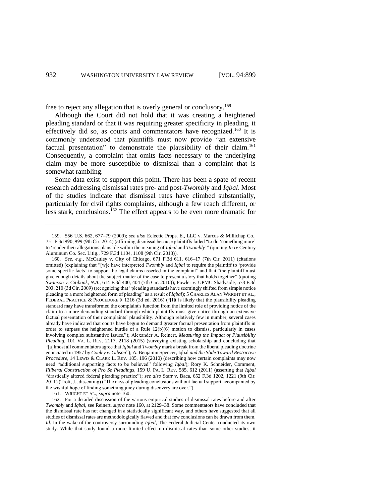free to reject any allegation that is overly general or conclusory.<sup>159</sup>

<span id="page-33-0"></span>Although the Court did not hold that it was creating a heightened pleading standard or that it was requiring greater specificity in pleading, it effectively did so, as courts and commentators have recognized.<sup>160</sup> It is commonly understood that plaintiffs must now provide "an extensive factual presentation" to demonstrate the plausibility of their claim.<sup>161</sup> Consequently, a complaint that omits facts necessary to the underlying claim may be more susceptible to dismissal than a complaint that is somewhat rambling.

Some data exist to support this point. There has been a spate of recent research addressing dismissal rates pre- and post-*Twombly* and *Iqbal*. Most of the studies indicate that dismissal rates have climbed substantially, particularly for civil rights complaints, although a few reach different, or less stark, conclusions.<sup>162</sup> The effect appears to be even more dramatic for

161. WRIGHT ET AL., *supra* not[e 160.](#page-33-0)

<sup>159.</sup> 556 U.S. 662, 677–79 (2009); *see also* Eclectic Props. E., LLC v. Marcus & Millichap Co., 751 F.3d 990, 999 (9th Cir. 2014) (affirming dismissal because plaintiffs failed "to do 'something more' to 'render their allegations plausible within the meaning of *Iqbal* and *Twombly*'" (quoting *In re* Century Aluminum Co. Sec. Litig., 729 F.3d 1104, 1108 (9th Cir. 2013)).

<sup>160.</sup> *See, e.g.*, McCauley v. City of Chicago, 671 F.3d 611, 616–17 (7th Cir. 2011) (citations omitted) (explaining that "[w]e have interpreted *Twombly* and *Iqbal* to require the plaintiff to 'provide some specific facts' to support the legal claims asserted in the complaint" and that "the plaintiff must give enough details about the subject-matter of the case to present a story that holds together" (quoting *Swanson v. Citibank, N.A.*, 614 F.3d 400, 404 (7th Cir. 2010)); Fowler v. UPMC Shadyside, 578 F.3d 203, 210 (3d Cir. 2009) (recognizing that "pleading standards have seemingly shifted from simple notice pleading to a more heightened form of pleading" as a result of *Iqbal*); 5 CHARLES ALAN WRIGHT ET AL., FEDERAL PRACTICE & PROCEDURE § 1216 (3d ed. 2016) ("[I]t is likely that the plausibility pleading standard may have transformed the complaint's function from the limited role of providing notice of the claim to a more demanding standard through which plaintiffs must give notice through an extensive factual presentation of their complaints' plausibility. Although relatively few in number, several cases already have indicated that courts have begun to demand greater factual presentation from plaintiffs in order to surpass the heightened hurdle of a Rule 12(b)(6) motion to dismiss, particularly in cases involving complex substantive issues."); Alexander A. Reinert, *Measuring the Impact of Plausibility Pleading*, 101 VA. L. REV. 2117, 2118 (2015) (surveying existing scholarship and concluding that "[a]lmost all commentators agree that *Iqbal* and *Twombly* mark a break from the liberal pleading doctrine enunciated in 1957 by *Conley v. Gibson*"); A. Benjamin Spencer, Iqbal *and the Slide Toward Restrictive Procedure*, 14 LEWIS & CLARK L. REV. 185, 196 (2010) (describing how certain complaints may now need "additional supporting facts to be believed" following *Iqbal*); Rory K. Schneider, Comment, *Illiberal Construction of Pro Se Pleadings*, 159 U. PA. L. REV. 585, 612 (2011) (asserting that *Iqbal* "drastically altered federal pleading practice"); *see also* Starr v. Baca, 652 F.3d 1202, 1221 (9th Cir. 2011) (Trott, J., dissenting) ("The days of pleading conclusions without factual support accompanied by the wishful hope of finding something juicy during discovery are over.").

<sup>162.</sup> For a detailed discussion of the various empirical studies of dismissal rates before and after *Twombly* and *Iqbal*, see Reinert, *supra* not[e 160,](#page-33-0) at 2129–38. Some commentators have concluded that the dismissal rate has not changed in a statistically significant way, and others have suggested that all studies of dismissal rates are methodologically flawed and that few conclusions can be drawn from them. *Id.* In the wake of the controversy surrounding *Iqbal*, The Federal Judicial Center conducted its own study. While that study found a more limited effect on dismissal rates than some other studies, it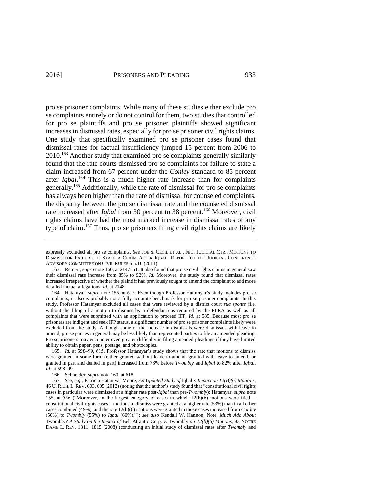pro se prisoner complaints. While many of these studies either exclude pro se complaints entirely or do not control for them, two studies that controlled for pro se plaintiffs and pro se prisoner plaintiffs showed significant increases in dismissal rates, especially for pro se prisoner civil rights claims. One study that specifically examined pro se prisoner cases found that dismissal rates for factual insufficiency jumped 15 percent from 2006 to 2010.<sup>163</sup> Another study that examined pro se complaints generally similarly found that the rate courts dismissed pro se complaints for failure to state a claim increased from 67 percent under the *Conley* standard to 85 percent after *Iqbal*. <sup>164</sup> This is a much higher rate increase than for complaints generally.<sup>165</sup> Additionally, while the rate of dismissal for pro se complaints has always been higher than the rate of dismissal for counseled complaints, the disparity between the pro se dismissal rate and the counseled dismissal rate increased after *Iqbal* from 30 percent to 38 percent.<sup>166</sup> Moreover, civil rights claims have had the most marked increase in dismissal rates of any type of claim.<sup>167</sup> Thus, pro se prisoners filing civil rights claims are likely

165. *Id.* at 598–99, 615. Professor Hatamyar's study shows that the rate that motions to dismiss were granted in some form (either granted without leave to amend, granted with leave to amend, or granted in part and denied in part) increased from 73% before *Twombly* and *Iqbal* to 82% after *Iqbal*. *Id.* at 598–99.

166. Schneider, *supra* not[e 160,](#page-33-0) at 618.

167. *See, e.g.*, Patricia Hatamyar Moore, *An Updated Study of* Iqbal'*s Impact on 12(B)(6) Motions*, 46 U. RICH. L. REV. 603, 605 (2012) (noting that the author's study found that "constitutional civil rights cases in particular were dismissed at a higher rate post-*Iqbal* than pre-*Twombly*); Hatamyar, *supra* note [155,](#page-32-0) at 556 ("Moreover, in the largest category of cases in which 12(b)(6) motions were filed constitutional civil rights cases—motions to dismiss were granted at a higher rate (53%) than in all other cases combined (49%), and the rate 12(b)(6) motions were granted in those cases increased from *Conley* (50%) to *Twombly* (55%) to *Iqbal* (60%)."); *see also* Kendall W. Hannon, Note, *Much Ado About*  Twombly*? A Study on the Impact of* Bell Atlantic Corp. v. Twombly *on 12(b)(6) Motions*, 83 NOTRE DAME L. REV. 1811, 1815 (2008) (conducting an initial study of dismissal rates after *Twombly* and

expressly excluded all pro se complaints. *See* JOE S. CECIL ET AL., FED. JUDICIAL CTR., MOTIONS TO DISMISS FOR FAILURE TO STATE A CLAIM AFTER IQBAL: REPORT TO THE JUDICIAL CONFERENCE ADVISORY COMMITTEE ON CIVIL RULES 6 n.10 (2011).

<sup>163.</sup> Reinert, *supra* not[e 160,](#page-33-0) at 2147–51. It also found that pro se civil rights claims in general saw their dismissal rate increase from 85% to 92%. *Id.* Moreover, the study found that dismissal rates increased irrespective of whether the plaintiff had previously sought to amend the complaint to add more detailed factual allegations. *Id.* at 2148.

<sup>164.</sup> Hatamyar, *supra* not[e 155,](#page-32-0) at 615. Even though Professor Hatamyar's study includes pro se complaints, it also is probably not a fully accurate benchmark for pro se prisoner complaints. In this study, Professor Hatamyar excluded all cases that were reviewed by a district court *sua sponte* (i.e. without the filing of a motion to dismiss by a defendant) as required by the PLRA as well as all complaints that were submitted with an application to proceed IFP. *Id.* at 585. Because most pro se prisoners are indigent and seek IFP status, a significant number of pro se prisoner complaints likely were excluded from the study. Although some of the increase in dismissals were dismissals with leave to amend, pro se parties in general may be less likely than represented parties to file an amended pleading. Pro se prisoners may encounter even greater difficulty in filing amended pleadings if they have limited ability to obtain paper, pens, postage, and photocopies.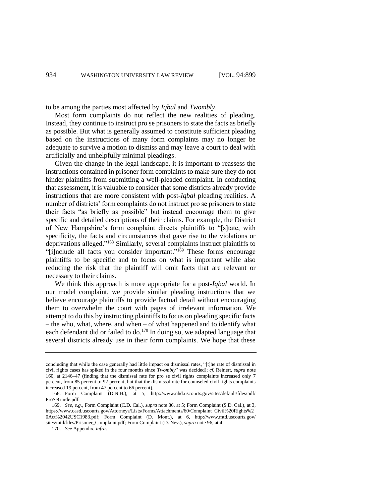to be among the parties most affected by *Iqbal* and *Twombly*.

Most form complaints do not reflect the new realities of pleading. Instead, they continue to instruct pro se prisoners to state the facts as briefly as possible. But what is generally assumed to constitute sufficient pleading based on the instructions of many form complaints may no longer be adequate to survive a motion to dismiss and may leave a court to deal with artificially and unhelpfully minimal pleadings.

Given the change in the legal landscape, it is important to reassess the instructions contained in prisoner form complaints to make sure they do not hinder plaintiffs from submitting a well-pleaded complaint. In conducting that assessment, it is valuable to consider that some districts already provide instructions that are more consistent with post-*Iqbal* pleading realities. A number of districts' form complaints do not instruct pro se prisoners to state their facts "as briefly as possible" but instead encourage them to give specific and detailed descriptions of their claims. For example, the District of New Hampshire's form complaint directs plaintiffs to "[s]tate, with specificity, the facts and circumstances that gave rise to the violations or deprivations alleged."<sup>168</sup> Similarly, several complaints instruct plaintiffs to "[i]nclude all facts you consider important."<sup>169</sup> These forms encourage plaintiffs to be specific and to focus on what is important while also reducing the risk that the plaintiff will omit facts that are relevant or necessary to their claims.

<span id="page-35-0"></span>We think this approach is more appropriate for a post-*Iqbal* world. In our model complaint, we provide similar pleading instructions that we believe encourage plaintiffs to provide factual detail without encouraging them to overwhelm the court with pages of irrelevant information. We attempt to do this by instructing plaintiffs to focus on pleading specific facts – the who, what, where, and when – of what happened and to identify what each defendant did or failed to do.<sup>170</sup> In doing so, we adapted language that several districts already use in their form complaints. We hope that these

concluding that while the case generally had little impact on dismissal rates, "[t]he rate of dismissal in civil rights cases has spiked in the four months since *Twombly*" was decided); *cf.* Reinert, *supra* note [160,](#page-33-0) at 2146–47 (finding that the dismissal rate for pro se civil rights complaints increased only 7 percent, from 85 percent to 92 percent, but that the dismissal rate for counseled civil rights complaints increased 19 percent, from 47 percent to 66 percent).

<sup>168.</sup> Form Complaint (D.N.H.), at 5, http://www.nhd.uscourts.gov/sites/default/files/pdf/ ProSeGuide.pdf.

<sup>169.</sup> *See, e.g.*, Form Complaint (C.D. Cal.), *supra* not[e 86,](#page-16-2) at 5; Form Complaint (S.D. Cal.), at 3, https://www.casd.uscourts.gov/Attorneys/Lists/Forms/Attachments/60/Complaint\_Civil%20Rights%2 0Act%2042USC1983.pdf; Form Complaint (D. Mont.), at 6, http://www.mtd.uscourts.gov/ sites/mtd/files/Prisoner\_Complaint.pdf; Form Complaint (D. Nev.), *supra* not[e 96,](#page-18-1) at 4.

<sup>170.</sup> *See* Appendix, *infra*.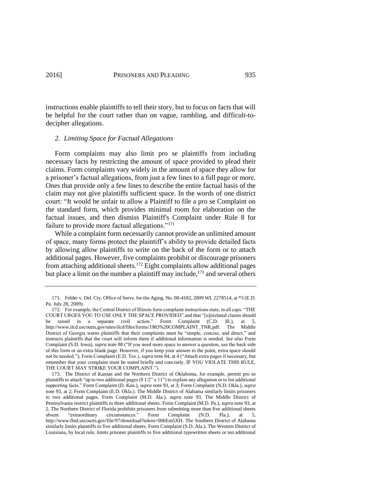instructions enable plaintiffs to tell their story, but to focus on facts that will be helpful for the court rather than on vague, rambling, and difficult-todecipher allegations.

### *2. Limiting Space for Factual Allegations*

Form complaints may also limit pro se plaintiffs from including necessary facts by restricting the amount of space provided to plead their claims. Form complaints vary widely in the amount of space they allow for a prisoner's factual allegations, from just a few lines to a full page or more. Ones that provide only a few lines to describe the entire factual basis of the claim may not give plaintiffs sufficient space. In the words of one district court: "It would be unfair to allow a Plaintiff to file a pro se Complaint on the standard form, which provides minimal room for elaboration on the factual issues, and then dismiss Plaintiff's Complaint under [Rule 8](https://a.next.westlaw.com/Link/Document/FullText?findType=L&pubNum=1004365&cite=USFRCPR8&originatingDoc=I4cdd5ecf7d2d11de9988d233d23fe599&refType=LQ&originationContext=document&transitionType=DocumentItem&contextData=%28sc.Folder*cid.91a7f667decd4854b01bdec9d65018d7*oc.UserEnteredCitation%29) for failure to provide more factual allegations."<sup>171</sup>

<span id="page-36-0"></span>While a complaint form necessarily cannot provide an unlimited amount of space, many forms protect the plaintiff's ability to provide detailed facts by allowing allow plaintiffs to write on the back of the form or to attach additional pages. However, five complaints prohibit or discourage prisoners from attaching additional sheets. <sup>172</sup> Eight complaints allow additional pages but place a limit on the number a plaintiff may include, $173$  and several others

<span id="page-36-1"></span><sup>171.</sup> Felder v. Del. Cty. Office of Servs. for the Aging, No. 08-4182, 2009 WL 2278514, at \*3 (E.D. Pa. July 28, 2009).

<sup>172.</sup> For example, the Central District of Illinois form complaint instructions state, in all caps: "THE COURT URGES YOU TO USE ONLY THE SPACE PROVIDED" and that "[u]nrelated claims should be raised in a separate civil action." Form Complaint (C.D. Ill.), at 5, http://www.ilcd.uscourts.gov/sites/ilcd/files/forms/1983%20COMPLAINT\_TNR.pdf. The Middle District of Georgia warns plaintiffs that their complaints must be "simple, concise, and direct," and instructs plaintiffs that the court will inform them if additional information is needed. *See also* Form Complaint (S.D. Iowa), *supra* not[e 88](#page-17-0) ("If you need more space to answer a question, use the back side of this form or an extra blank page. However, if you keep your answer to the point, extra space should not be needed."); Form Complaint (E.D. Tex.), *supra* not[e 84,](#page-16-1) at 4 ("Attach extra pages if necessary, but remember that your complaint must be stated briefly and concisely. IF YOU VIOLATE THIS RULE, THE COURT MAY STRIKE YOUR COMPLAINT.").

<sup>173.</sup> The District of Kansas and the Northern District of Oklahoma, for example, permit pro se plaintiffs to attach "up to two additional pages (8 1/2" x 11") to explain any allegation or to list additional supporting facts." Form Complaint (D. Kan.), *supra* not[e 93,](#page-18-0) at 3; Form Complaint (N.D. Okla.), *supra* note [93,](#page-18-0) at 2; Form Complaint (E.D. Okla.). The Middle District of Alabama similarly limits prisoners to two additional pages. Form Complaint (M.D. Ala.), *supra* note [93.](#page-18-0) The Middle District of Pennsylvania restrict plaintiffs to three additional sheets. Form Complaint (M.D. Pa.), *supra* not[e 93,](#page-18-0) at 2. The Northern District of Florida prohibits prisoners from submitting more than five additional sheets absent "extraordinary circumstances." Form Complaint (N.D. Fla.), at 5. absent "extraordinary circumstances." Form Complaint (N.D. Fla.), at 5, http://www.flnd.uscourts.gov/file/97/download?token=006Em5XH. The Southern District of Alabama similarly limits plaintiffs to five additional sheets. Form Complaint (S.D. Ala.). The Western District of Louisiana, by local rule, limits prisoner plaintiffs to five additional typewritten sheets or ten additional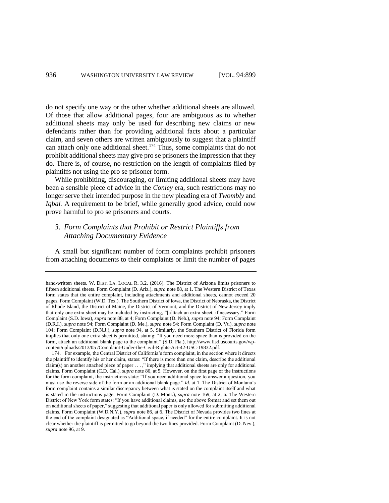do not specify one way or the other whether additional sheets are allowed. Of those that allow additional pages, four are ambiguous as to whether additional sheets may only be used for describing new claims or new defendants rather than for providing additional facts about a particular claim, and seven others are written ambiguously to suggest that a plaintiff can attach only one additional sheet.<sup>174</sup> Thus, some complaints that do not prohibit additional sheets may give pro se prisoners the impression that they do. There is, of course, no restriction on the length of complaints filed by plaintiffs not using the pro se prisoner form.

While prohibiting, discouraging, or limiting additional sheets may have been a sensible piece of advice in the *Conley* era, such restrictions may no longer serve their intended purpose in the new pleading era of *Twombly* and *Iqbal.* A requirement to be brief, while generally good advice, could now prove harmful to pro se prisoners and courts*.*

# *3. Form Complaints that Prohibit or Restrict Plaintiffs from Attaching Documentary Evidence*

A small but significant number of form complaints prohibit prisoners from attaching documents to their complaints or limit the number of pages

hand-written sheets. W. DIST. LA. LOCAL R. 3.2. (2016). The District of Arizona limits prisoners to fifteen additional sheets. Form Complaint (D. Ariz.), *supra* not[e 88,](#page-17-0) at 1. The Western District of Texas form states that the entire complaint, including attachments and additional sheets, cannot exceed 20 pages. Form Complaint (W.D. Tex.). The Southern District of Iowa, the District of Nebraska, the District of Rhode Island, the District of Maine, the District of Vermont, and the District of New Jersey imply that only one extra sheet may be included by instructing, "[a]ttach an extra sheet, if necessary." Form Complaint (S.D. Iowa), *supra* not[e 88,](#page-17-0) at 4; Form Complaint (D. Neb.), *supra* note 94; Form Complaint (D.R.I.), *supra* note 94; Form Complaint (D. Me.), *supra* note 94; Form Complaint (D. Vt.), *supra* note 104; Form Complaint (D.N.J.), *supra* note [94,](#page-18-2) at 5. Similarly, the Southern District of Florida form implies that only one extra sheet is permitted, stating: "If you need more space than is provided on the form, attach an additional blank page to the complaint." (S.D. Fla.), http://www.flsd.uscourts.gov/wpcontent/uploads/2013/05 /Complaint-Under-the-Civil-Rights-Act-42-USC-19832.pdf.

<sup>174.</sup> For example, the Central District of California's form complaint, in the section where it directs the plaintiff to identify his or her claim, states: "If there is more than one claim, describe the additional claim(s) on another attached piece of paper . . . ," implying that additional sheets are only for additional claims. Form Complaint (C.D. Cal.), *supra* not[e 86,](#page-16-2) at 5. However, on the first page of the instructions for the form complaint, the instructions state: "If you need additional space to answer a question, you must use the reverse side of the form or an additional blank page." *Id.* at 1. The District of Montana's form complaint contains a similar discrepancy between what is stated on the complaint itself and what is stated in the instructions page. Form Complaint (D. Mont.), *supra* not[e 169,](#page-35-0) at 2, 6. The Western District of New York form states: "If you have additional claims, use the above format and set them out on additional sheets of paper," suggesting that additional paper is only allowed for submitting additional claims. Form Complaint (W.D.N.Y.), *supra* not[e 86,](#page-16-2) at 6. The District of Nevada provides two lines at the end of the complaint designated as "Additional space, if needed" for the entire complaint. It is not clear whether the plaintiff is permitted to go beyond the two lines provided. Form Complaint (D. Nev.), *supra* not[e 96,](#page-18-1) at 9.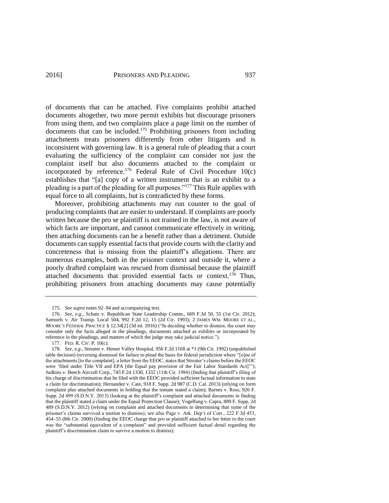of documents that can be attached. Five complaints prohibit attached documents altogether, two more permit exhibits but discourage prisoners from using them, and two complaints place a page limit on the number of documents that can be included.<sup>175</sup> Prohibiting prisoners from including attachments treats prisoners differently from other litigants and is inconsistent with governing law. It is a general rule of pleading that a court evaluating the sufficiency of the complaint can consider not just the complaint itself but also documents attached to the complaint or incorporated by reference.<sup>176</sup> Federal Rule of Civil Procedure  $10(c)$ establishes that "[a] copy of a written instrument that is an exhibit to a pleading is a part of the pleading for all purposes."<sup>177</sup> This Rule applies with equal force to all complaints, but is contradicted by these forms.

<span id="page-38-1"></span><span id="page-38-0"></span>Moreover, prohibiting attachments may run counter to the goal of producing complaints that are easier to understand. If complaints are poorly written because the pro se plaintiff is not trained in the law, is not aware of which facts are important, and cannot communicate effectively in writing, then attaching documents can be a benefit rather than a detriment. Outside documents can supply essential facts that provide courts with the clarity and concreteness that is missing from the plaintiff's allegations. There are numerous examples, both in the prisoner context and outside it, where a poorly drafted complaint was rescued from dismissal because the plaintiff attached documents that provided essential facts or context.<sup>178</sup> Thus, prohibiting prisoners from attaching documents may cause potentially

<sup>175.</sup> *See supra* notes 92–94 and accompanying text.

<sup>176.</sup> *See, e.g.*, Schatz v. Republican State Leadership Comm., 669 F.3d 50, 55 (1st Cir. 2012); Samuels v. Air Transp. Local 504, 992 F.2d 12, 15 (2d Cir. 1993); 2 JAMES WM. MOORE ET AL., *MOORE'S FEDERAL PRACTICE* § 12.34[2] (3d ed. 2016) ("In deciding whether to dismiss, the court may consider only the facts alleged in the pleadings, documents attached as exhibits or incorporated by reference in the pleadings, and matters of which the judge may take judicial notice.").

<sup>177.</sup> FED. R. CIV. P. 10(c).

<sup>178.</sup> *See, e.g.*, Streater v. Hemet Valley Hospital, 956 F.2d 1168 at \*1 (9th Cir. 1992) (unpublished table decision) (reversing dismissal for failure to plead the basis for federal jurisdiction where "[o]ne of the attachments [to the complaint], a letter from the EEOC, states that Streater's claims before the EEOC were 'filed under Title VII and EPA [the Equal pay provision of the Fair Labor Standards Act]'"); Judkins v. Beech Aircraft Corp., 745 F.2d 1330, 1332 (11th Cir. 1984) (finding that plaintiff's filing of his charge of discrimination that he filed with the EEOC provided sufficient factual information to state a claim for discrimination); Hernandez v. Cate, 918 F. Supp. 2d 987 (C.D. Cal. 2013) (relying on form complaint plus attached documents in holding that the inmate stated a claim); Barnes v. Ross, 926 F. Supp. 2d 499 (S.D.N.Y. 2013) (looking at the plaintiff's complaint and attached documents in finding that the plaintiff stated a claim under the Equal Protection Clause); Vogelfang v. Capra, 889 F. Supp. 2d 489 (S.D.N.Y. 2012) (relying on complaint and attached documents in determining that some of the prisoner's claims survived a motion to dismiss); *see also* Page v. Ark. Dep't of Corr., 222 F.3d 453, 454–55 (8th Cir. 2000) (finding the EEOC charge that pro se plaintiff attached to her letter to the court was the "substantial equivalent of a complaint" and provided sufficient factual detail regarding the plaintiff's discrimination claim to survive a motion to dismiss).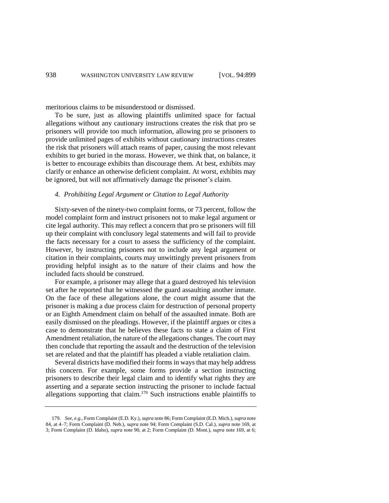meritorious claims to be misunderstood or dismissed.

To be sure, just as allowing plaintiffs unlimited space for factual allegations without any cautionary instructions creates the risk that pro se prisoners will provide too much information, allowing pro se prisoners to provide unlimited pages of exhibits without cautionary instructions creates the risk that prisoners will attach reams of paper, causing the most relevant exhibits to get buried in the morass. However, we think that, on balance, it is better to encourage exhibits than discourage them. At best, exhibits may clarify or enhance an otherwise deficient complaint. At worst, exhibits may be ignored, but will not affirmatively damage the prisoner's claim.

#### *4. Prohibiting Legal Argument or Citation to Legal Authority*

Sixty-seven of the ninety-two complaint forms, or 73 percent, follow the model complaint form and instruct prisoners not to make legal argument or cite legal authority. This may reflect a concern that pro se prisoners will fill up their complaint with conclusory legal statements and will fail to provide the facts necessary for a court to assess the sufficiency of the complaint. However, by instructing prisoners not to include any legal argument or citation in their complaints, courts may unwittingly prevent prisoners from providing helpful insight as to the nature of their claims and how the included facts should be construed.

For example, a prisoner may allege that a guard destroyed his television set after he reported that he witnessed the guard assaulting another inmate. On the face of these allegations alone, the court might assume that the prisoner is making a due process claim for destruction of personal property or an Eighth Amendment claim on behalf of the assaulted inmate. Both are easily dismissed on the pleadings. However, if the plaintiff argues or cites a case to demonstrate that he believes these facts to state a claim of First Amendment retaliation, the nature of the allegations changes. The court may then conclude that reporting the assault and the destruction of the television set are related and that the plaintiff has pleaded a viable retaliation claim.

Several districts have modified their forms in ways that may help address this concern. For example, some forms provide a section instructing prisoners to describe their legal claim and to identify what rights they are asserting and a separate section instructing the prisoner to include factual allegations supporting that claim.<sup>179</sup> Such instructions enable plaintiffs to

<span id="page-39-0"></span><sup>179.</sup> *See, e.g.*, Form Complaint (E.D. Ky.), *supra* note 86; Form Complaint (E.D. Mich.), *supra* note [84,](#page-16-1) at 4–7; Form Complaint (D. Neb.), *supra* note 94; Form Complaint (S.D. Cal.), *supra* not[e 169,](#page-35-0) at 3; Form Complaint (D. Idaho), *supra* note [90,](#page-17-1) at 2; Form Complaint (D. Mont.), *supra* note [169,](#page-35-0) at 6;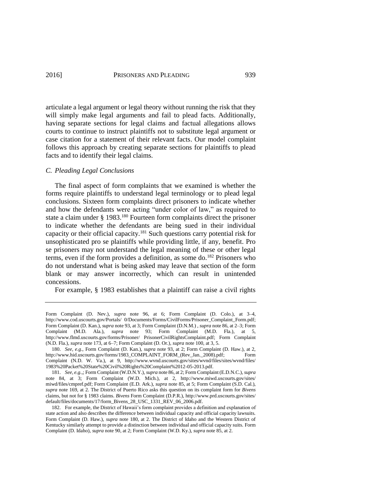articulate a legal argument or legal theory without running the risk that they will simply make legal arguments and fail to plead facts. Additionally, having separate sections for legal claims and factual allegations allows courts to continue to instruct plaintiffs not to substitute legal argument or case citation for a statement of their relevant facts. Our model complaint follows this approach by creating separate sections for plaintiffs to plead facts and to identify their legal claims.

#### *C. Pleading Legal Conclusions*

<span id="page-40-0"></span>The final aspect of form complaints that we examined is whether the forms require plaintiffs to understand legal terminology or to plead legal conclusions. Sixteen form complaints direct prisoners to indicate whether and how the defendants were acting "under color of law," as required to state a claim under § 1983.<sup>180</sup> Fourteen form complaints direct the prisoner to indicate whether the defendants are being sued in their individual capacity or their official capacity.<sup>181</sup> Such questions carry potential risk for unsophisticated pro se plaintiffs while providing little, if any, benefit. Pro se prisoners may not understand the legal meaning of these or other legal terms, even if the form provides a definition, as some do.<sup>182</sup> Prisoners who do not understand what is being asked may leave that section of the form blank or may answer incorrectly, which can result in unintended concessions.

<span id="page-40-1"></span>For example, § 1983 establishes that a plaintiff can raise a civil rights

Form Complaint (D. Nev.), *supra* note [96,](#page-18-1) at 6; Form Complaint (D. Colo.), at 3–4, http://www.cod.uscourts.gov/Portals/ 0/Documents/Forms/CivilForms/Prisoner\_Complaint\_Form.pdf; Form Complaint (D. Kan.), *supra* not[e 93,](#page-18-0) at 3; Form Complaint (D.N.M.) , *supra* not[e 86,](#page-16-2) at 2–3; Form Complaint (M.D. Ala.), *supra* note [93;](#page-18-0) Form Complaint (M.D. Fla.), at 5, http://www.flmd.uscourts.gov/forms/Prisoner/ PrisonerCivilRightsComplaint.pdf; Form Complaint (N.D. Fla.), *supra* not[e 173,](#page-36-1) at 6–7; Form Complaint (D. Or.), *supra* note [100,](#page-20-0) at 3, 5.

<sup>180.</sup> *See, e.g.*, Form Complaint (D. Kan.), *supra* note [93,](#page-18-0) at 2; Form Complaint (D. Haw.), at 2, http://www.hid.uscourts.gov/forms/1983\_COMPLAINT\_FORM\_(Rev\_Jan.\_2008).pdf; Form Complaint (N.D. W. Va.), at 9, http://www.wvnd.uscourts.gov/sites/wvnd/files/sites/wvnd/files/ 1983%20Packet%20State%20Civil%20Rights%20Complaint%2012-05-2013.pdf.

<sup>181.</sup> *See, e.g.*,; Form Complaint (W.D.N.Y.), *supra* not[e 86,](#page-16-2) at 2; Form Complaint (E.D.N.C.), *supra* note [84,](#page-16-1) at 3; Form Complaint (W.D. Mich.), at 2, http://www.miwd.uscourts.gov/sites/ miwd/files/cmpref.pdf; Form Complaint (E.D. Ark.), *supra* not[e 85,](#page-16-3) at 5; Form Complaint (S.D. Cal.), *supra* note [169,](#page-35-0) at 2. The District of Puerto Rico asks this question on its complaint form for *Bivens* claims, but not for § 1983 claims. *Bivens* Form Complaint (D.P.R.), http://www.prd.uscourts.gov/sites/ default/files/documents/17/form\_Bivens\_28\_USC\_1331\_REV\_06\_2006.pdf.

<sup>182.</sup> For example, the District of Hawaii's form complaint provides a definition and explanation of state action and also describes the difference between individual capacity and official capacity lawsuits. Form Complaint (D. Haw.), *supra* note [180,](#page-40-0) at 2. The District of Idaho and the Western District of Kentucky similarly attempt to provide a distinction between individual and official capacity suits. Form Complaint (D. Idaho), *supra* not[e 90,](#page-17-1) at 2; Form Complaint (W.D. Ky.), *supra* not[e 85,](#page-16-3) at 2.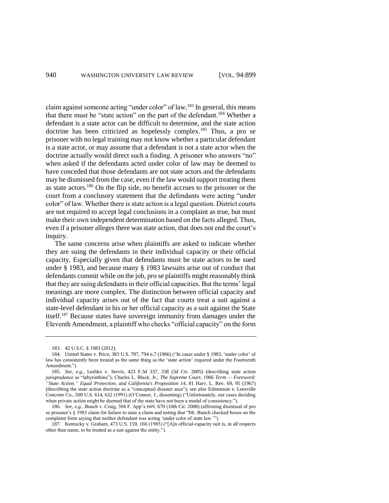claim against someone acting "under color" of law.<sup>183</sup> In general, this means that there must be "state action" on the part of the defendant.<sup>184</sup> Whether a defendant is a state actor can be difficult to determine, and the state action doctrine has been criticized as hopelessly complex.<sup>185</sup> Thus, a pro se prisoner with no legal training may not know whether a particular defendant is a state actor, or may assume that a defendant is not a state actor when the doctrine actually would direct such a finding. A prisoner who answers "no" when asked if the defendants acted under color of law may be deemed to have conceded that those defendants are not state actors and the defendants may be dismissed from the case, even if the law would support treating them as state actors.<sup>186</sup> On the flip side, no benefit accrues to the prisoner or the court from a conclusory statement that the defendants were acting "under color" of law. Whether there is state action is a legal question. District courts are not required to accept legal conclusions in a complaint as true, but must make their own independent determination based on the facts alleged. Thus, even if a prisoner alleges there was state action, that does not end the court's inquiry.

The same concerns arise when plaintiffs are asked to indicate whether they are suing the defendants in their individual capacity or their official capacity. Especially given that defendants must be state actors to be sued under § 1983, and because many § 1983 lawsuits arise out of conduct that defendants commit while on the job, pro se plaintiffs might reasonably think that they are suing defendants in their official capacities. But the terms' legal meanings are more complex. The distinction between official capacity and individual capacity arises out of the fact that courts treat a suit against a state-level defendant in his or her official capacity as a suit against the State itself.<sup>187</sup> Because states have sovereign immunity from damages under the Eleventh Amendment, a plaintiff who checks "official capacity" on the form

186. *See, e.g.*, Bunch v. Craig, 304 F. App'x 669, 670 (10th Cir. 2008) (affirming dismissal of pro se prisoner's § 1983 claim for failure to state a claim and noting that "Mr. Bunch checked boxes on the complaint form saying that neither defendant was acting 'under color of state law.'").

<sup>183.</sup> 42 U.S.C. § 1983 (2012).

<sup>184.</sup> [United States v. Price, 383 U.S. 787, 794](https://a.next.westlaw.com/Link/Document/FullText?findType=Y&serNum=1966112631&pubNum=708&fi=co_pp_sp_708_1157&originationContext=document&transitionType=DocumentItem&contextData=%28sc.Search%29#co_pp_sp_708_1157) n.7 (1966) ("In cases unde[r § 1983,](https://a.next.westlaw.com/Link/Document/FullText?findType=L&pubNum=1000546&cite=42USCAS1983&originatingDoc=Ibdee3bd39c2511d9bc61beebb95be672&refType=LQ&originationContext=document&transitionType=DocumentItem&contextData=%28sc.Search%29) 'under color' of law has consistently been treated as the same thing as the 'state action' required under the Fourteenth Amendment.").

<sup>185.</sup> *See, e.g.*, Leshko v. Servis, 423 F.3d 337, 338 (3d Cir. 2005) (describing state action jurisprudence as "labyrinthine"); Charles L. Black, Jr., *The Supreme Court, 1966 Term — Foreword: "State Action," Equal Protection, and California's Proposition 14*, 81 Harv. L. Rev. 69, 95 (1967) (describing the state action doctrine as a "conceptual disaster area"); *see also* Edmonson v. Leesville Concrete Co., 500 U.S. 614, 632 (1991) (O'Connor, J., dissenting) ("Unfortunately, our cases deciding when private action might be deemed that of the state have not been a model of consistency.").

<sup>187.</sup> Kentucky v. Graham, 473 U.S. 159, 166 (1985) ("[A]n official-capacity suit is, in all respects other than name, to be treated as a suit against the entity.").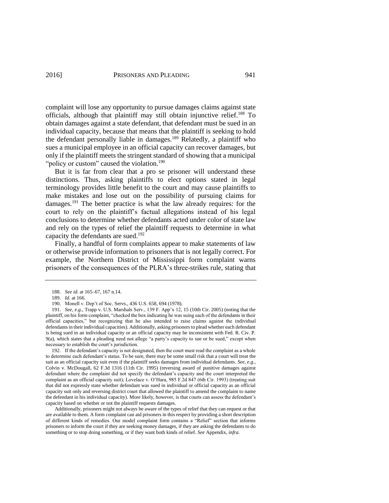complaint will lose any opportunity to pursue damages claims against state officials, although that plaintiff may still obtain injunctive relief.<sup>188</sup> To obtain damages against a state defendant, that defendant must be sued in an individual capacity, because that means that the plaintiff is seeking to hold the defendant personally liable in damages.<sup>189</sup> Relatedly, a plaintiff who sues a municipal employee in an official capacity can recover damages, but only if the plaintiff meets the stringent standard of showing that a municipal "policy or custom" caused the violation.<sup>190</sup>

But it is far from clear that a pro se prisoner will understand these distinctions. Thus, asking plaintiffs to elect options stated in legal terminology provides little benefit to the court and may cause plaintiffs to make mistakes and lose out on the possibility of pursuing claims for damages.<sup>191</sup> The better practice is what the law already requires: for the court to rely on the plaintiff's factual allegations instead of his legal conclusions to determine whether defendants acted under color of state law and rely on the types of relief the plaintiff requests to determine in what capacity the defendants are sued.<sup>192</sup>

Finally, a handful of form complaints appear to make statements of law or otherwise provide information to prisoners that is not legally correct. For example, the Northern District of Mississippi form complaint warns prisoners of the consequences of the PLRA's three-strikes rule, stating that

192. If the defendant's capacity is not designated, then the court must read the complaint as a whole to determine each defendant's status. To be sure, there may be some small risk that a court will treat the suit as an official capacity suit even if the plaintiff seeks damages from individual defendants. *See, e.g.*, Colvin v. McDougall, 62 F.3d 1316 (11th Cir. 1995) (reversing award of punitive damages against defendant where the complaint did not specify the defendant's capacity and the court interpreted the complaint as an official capacity suit); Lovelace v. O'Hara, 985 F.2d 847 (6th Cir. 1993) (treating suit that did not expressly state whether defendant was sued in individual or official capacity as an official capacity suit only and reversing district court that allowed the plaintiff to amend the complaint to name the defendant in his individual capacity). More likely, however, is that courts can assess the defendant's capacity based on whether or not the plaintiff requests damages.

Additionally, prisoners might not always be aware of the types of relief that they can request or that are available to them. A form complaint can aid prisoners in this respect by providing a short description of different kinds of remedies. Our model complaint form contains a "Relief" section that informs prisoners to inform the court if they are seeking money damages, if they are asking the defendants to do something or to stop doing something, or if they want both kinds of relief. *See* Appendix, *infra*.

<sup>188.</sup> *See id*. at 165–67, 167 n.14.

<sup>189.</sup> *Id.* at 166.

<sup>190.</sup> Monell v. Dep't of Soc. Servs., 436 U.S. 658, 694 (1978).

<sup>191.</sup> *See, e.g.*, Trapp v. U.S. Marshals Serv., 139 F. App'x 12, 15 (10th Cir. 2005) (noting that the plaintiff, on his form complaint, "checked the box indicating he was suing each of the defendants in their official capacities," but recognizing that he also intended to raise claims against the individual defendants in their individual capacities). Additionally, asking prisoners to plead whether each defendant is being sued in an individual capacity or an official capacity may be inconsistent with Fed. R. Civ. P. 9(a), which states that a pleading need not allege "a party's capacity to sue or be sued," except when necessary to establish the court's jurisdiction.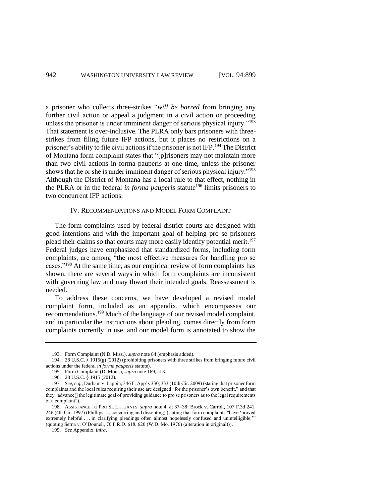a prisoner who collects three-strikes "*will be barred* from bringing any further civil action or appeal a judgment in a civil action or proceeding unless the prisoner is under imminent danger of serious physical injury."<sup>193</sup> That statement is over-inclusive. The PLRA only bars prisoners with threestrikes from filing future IFP actions, but it places no restrictions on a prisoner's ability to file civil actions if the prisoner is not IFP.<sup>194</sup> The District of Montana form complaint states that "[p]risoners may not maintain more than two civil actions in forma pauperis at one time, unless the prisoner shows that he or she is under imminent danger of serious physical injury."<sup>195</sup> Although the District of Montana has a local rule to that effect, nothing in the PLRA or in the federal *in forma pauperis* statute<sup>196</sup> limits prisoners to two concurrent IFP actions.

### IV. RECOMMENDATIONS AND MODEL FORM COMPLAINT

The form complaints used by federal district courts are designed with good intentions and with the important goal of helping pro se prisoners plead their claims so that courts may more easily identify potential merit.<sup>197</sup> Federal judges have emphasized that standardized forms, including form complaints, are among "the most effective measures for handling pro se cases."<sup>198</sup> At the same time, as our empirical review of form complaints has shown, there are several ways in which form complaints are inconsistent with governing law and may thwart their intended goals. Reassessment is needed.

To address these concerns, we have developed a revised model complaint form, included as an appendix, which encompasses our recommendations.<sup>199</sup> Much of the language of our revised model complaint, and in particular the instructions about pleading, comes directly from form complaints currently in use, and our model form is annotated to show the

199. *See* Appendix, *infra*.

<sup>193.</sup> Form Complaint (N.D. Miss.), *supra* note [84](#page-16-1) (emphasis added).

<sup>194.</sup> 28 U.S.C. § 1915(g) (2012) (prohibiting prisoners with three strikes from bringing future civil actions under the federal *in forma pauperis* statute).

<sup>195.</sup> Form Complaint (D. Mont.), *supra* note [169,](#page-35-0) at 3.

<sup>196.</sup> 28 U.S.C. § 1915 (2012).

<sup>197.</sup> *See, e.g.*, Durham v. Lappin, 346 F. App'x 330, 333 (10th Cir. 2009) (stating that prisoner form complaints and the local rules requiring their use are designed "for the prisoner's own benefit," and that they "advance[] the legitimate goal of providing guidance to pro se prisoners as to the legal requirements of a complaint").

<sup>198.</sup> ASSISTANCE TO PRO SE LITIGANTS, *supra* note 4, at 37–38; Brock v. Carroll, 107 F.3d 241, 246 (4th Cir. 1997) (Phillips, J., concurring and dissenting) (stating that form complaints "have 'proved extremely helpful . . . in clarifying pleadings often almost hopelessly confused and unintelligible." (quoting Serna v. O'Donnell, 70 F.R.D. 618, 620 (W.D. Mo. 1976) (alteration in original))).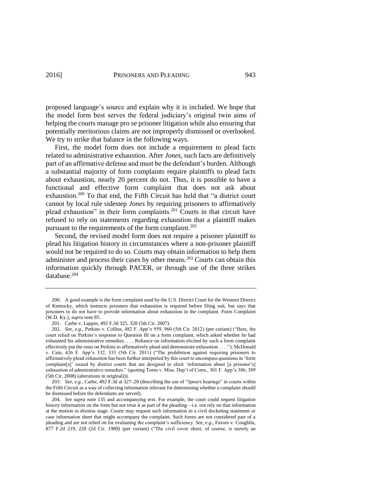proposed language's source and explain why it is included. We hope that the model form best serves the federal judiciary's original twin aims of helping the courts manage pro se prisoner litigation while also ensuring that potentially meritorious claims are not improperly dismissed or overlooked. We try to strike that balance in the following ways.

First, the model form does not include a requirement to plead facts related to administrative exhaustion. After *Jones*, such facts are definitively part of an affirmative defense and must be the defendant's burden. Although a substantial majority of form complaints require plaintiffs to plead facts about exhaustion, nearly 20 percent do not. Thus, it is possible to have a functional and effective form complaint that does not ask about exhaustion.<sup>200</sup> To that end, the Fifth Circuit has held that "a district court cannot by local rule sidestep *Jones* by requiring prisoners to affirmatively plead exhaustion" in their form complaints.<sup>201</sup> Courts in that circuit have refused to rely on statements regarding exhaustion that a plaintiff makes pursuant to the requirements of the form complaint. $202$ 

Second, the revised model form does not require a prisoner plaintiff to plead his litigation history in circumstances where a non-prisoner plaintiff would not be required to do so. Courts may obtain information to help them administer and process their cases by other means.<sup>203</sup> Courts can obtain this information quickly through PACER, or through use of the three strikes database.<sup>204</sup>

203. *See, e.g.*, Carbe, 492 F.3d at 327–28 (describing the use of "*Spears* hearings" in courts within the Fifth Circuit as a way of collecting information relevant for determining whether a complaint should be dismissed before the defendants are served).

<sup>200.</sup> A good example is the form complaint used by the U.S. District Court for the Western District of Kentucky, which instructs prisoners that exhaustion is required before filing suit, but says that prisoners to do not have to provide information about exhaustion in the complaint. Form Complaint (W.D. Ky.), *supra* not[e 85.](#page-16-3) 

<sup>201.</sup> Carbe v. Lappin, 492 F.3d 325, 328 (5th Cir. 2007).

<sup>202.</sup> *See, e.g.*, Perkins v. Collins, 482 F. App'x 959, 960 (5th Cir. 2012) (per curiam) ("Here, the court relied on Perkins's response to Question III on a form complaint, which asked whether he had exhausted his administrative remedies. . . . Reliance on information elicited by such a form complaint effectively put the onus on Perkins to affirmatively plead and demonstrate exhaustion . . . ."); McDonald v. Cain, 426 F. App'x 332, 333 (5th Cir. 2011) ("The prohibition against requiring prisoners to affirmatively plead exhaustion has been further interpreted by this court to encompass questions in 'form complaint[s]' issued by district courts that are designed to elicit 'information about [a prisoner's] exhaustion of administrative remedies." (quoting Torns v. Miss. Dep't of Corrs., 301 F. App'x 386, 389 (5th Cir. 2008) (alterations in original))).

<sup>204.</sup> *See supra* note [135](#page-27-0) and accompanying text. For example, the court could request litigation history information on the form but not treat it as part of the pleading—i.e. not rely on that information at the motion to dismiss stage. Courts may request such information in a civil docketing statement or case information sheet that might accompany the complaint. Such forms are not considered part of a pleading and are not relied on for evaluating the complaint's sufficiency. *See, e.g.*, Favors v. Coughlin, 877 F.2d 219, 220 (2d Cir. 1989) (per curiam) ("The civil cover sheet, of course, is merely an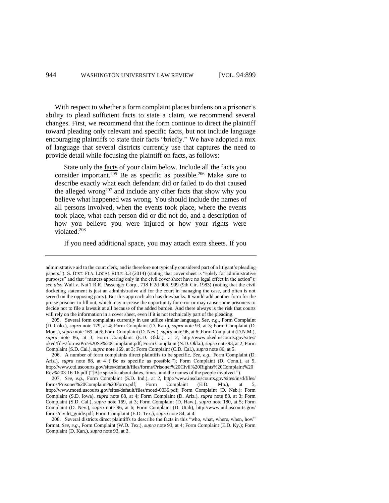With respect to whether a form complaint places burdens on a prisoner's ability to plead sufficient facts to state a claim, we recommend several changes. First, we recommend that the form continue to direct the plaintiff toward pleading only relevant and specific facts, but not include language encouraging plaintiffs to state their facts "briefly." We have adopted a mix of language that several districts currently use that captures the need to provide detail while focusing the plaintiff on facts, as follows:

<span id="page-45-2"></span><span id="page-45-1"></span><span id="page-45-0"></span>State only the facts of your claim below. Include all the facts you consider important.<sup>205</sup> Be as specific as possible.<sup>206</sup> Make sure to describe exactly what each defendant did or failed to do that caused the alleged wrong<sup>207</sup> and include any other facts that show why you believe what happened was wrong. You should include the names of all persons involved, when the events took place, where the events took place, what each person did or did not do, and a description of how you believe you were injured or how your rights were violated.<sup>208</sup>

If you need additional space, you may attach extra sheets. If you

administrative aid to the court clerk, and is therefore not typically considered part of a litigant's pleading papers."); S. DIST. FLA. LOCAL RULE 3.3 (2014) (stating that cover sheet is "solely for administrative purposes" and that "matters appearing only in the civil cover sheet have no legal effect in the action"); *see also* Wall v. Nat'l R.R. Passenger Corp., 718 F.2d 906, 909 (9th Cir. 1983) (noting that the civil docketing statement is just an administrative aid for the court in managing the case, and often is not served on the opposing party). But this approach also has drawbacks. It would add another form for the pro se prisoner to fill out, which may increase the opportunity for error or may cause some prisoners to decide not to file a lawsuit at all because of the added burden. And there always is the risk that courts will rely on the information in a cover sheet, even if it is not technically part of the pleading.

<sup>205.</sup> Several form complaints currently in use utilize similar language. *See, e.g*., Form Complaint (D. Colo.), *supra* note [179,](#page-39-0) at 4; Form Complaint (D. Kan.), *supra* note [93,](#page-18-0) at 3; Form Complaint (D. Mont.), *supra* not[e 169,](#page-35-0) at 6; Form Complaint (D. Nev.), *supra* not[e 96,](#page-18-1) at 6; Form Complaint (D.N.M.), *supra* note [86,](#page-16-2) at 3; Form Complaint (E.D. Okla.), at 2, http://www.oked.uscourts.gov/sites/ oked/files/forms/Pro%20Se%20Complaint.pdf; Form Complaint (N.D. Okla.), *supra* not[e 93,](#page-18-0) at 2; Form Complaint (S.D. Cal.), *supra* not[e 169,](#page-35-0) at 3; Form Complaint (C.D. Cal.), *supra* not[e 86,](#page-16-2) at 5.

<sup>206.</sup> A number of form complaints direct plaintiffs to be specific. *See, e.g*., Form Complaint (D. Ariz.), *supra* note [88,](#page-17-0) at 4 ("Be as specific as possible."); Form Complaint (D. Conn.), at 5, http://www.ctd.uscourts.gov/sites/default/files/forms/Prisoner%20Civil%20Rights%20Complaint%20 Rev%203-16-16.pdf ("[B]e specific about dates, times, and the names of the people involved.").

<sup>207.</sup> *See, e.g.*, Form Complaint (S.D. Ind.), at 2, http://www.insd.uscourts.gov/sites/insd/files/ forms/Prisoner%20Complaint%20Form.pdf; Form Complaint (E.D. Mo.), at 5, http://www.moed.uscourts.gov/sites/default/files/moed-0036.pdf; Form Complaint (D. Neb.); Form Complaint (S.D. Iowa), *supra* note [88,](#page-17-0) at 4; Form Complaint (D. Ariz.), *supra* note [88,](#page-17-0) at 3; Form Complaint (S.D. Cal.), *supra* note [169,](#page-35-0) at 3; Form Complaint (D. Haw.), *supra* note [180,](#page-40-0) at 5; Form Complaint (D. Nev.), *supra* note [96,](#page-18-1) at 6; Form Complaint (D. Utah), http://www.utd.uscourts.gov/ forms/civilrt\_guide.pdf; Form Complaint (E.D. Tex.), *supra* not[e 84,](#page-16-1) at 4.

<sup>208.</sup> Several districts direct plaintiffs to describe the facts in this "who, what, where, when, how" format. *See, e.g.*, Form Complaint (W.D. Tex.), *supra* note 93, at 4; Form Complaint (E.D. Ky.); Form Complaint (D. Kan.), *supra* not[e 93,](#page-18-0) at 3.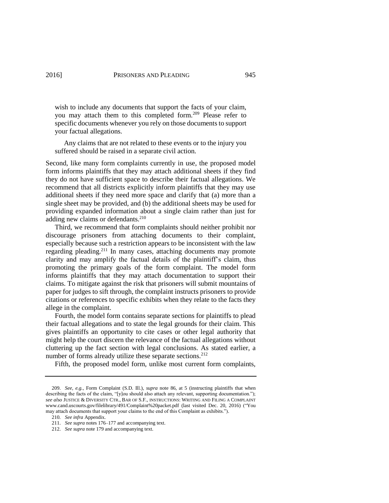<span id="page-46-0"></span>wish to include any documents that support the facts of your claim, you may attach them to this completed form.<sup>209</sup> Please refer to specific documents whenever you rely on those documents to support your factual allegations.

Any claims that are not related to these events or to the injury you suffered should be raised in a separate civil action.

Second, like many form complaints currently in use, the proposed model form informs plaintiffs that they may attach additional sheets if they find they do not have sufficient space to describe their factual allegations. We recommend that all districts explicitly inform plaintiffs that they may use additional sheets if they need more space and clarify that (a) more than a single sheet may be provided, and (b) the additional sheets may be used for providing expanded information about a single claim rather than just for adding new claims or defendants.<sup>210</sup>

Third, we recommend that form complaints should neither prohibit nor discourage prisoners from attaching documents to their complaint, especially because such a restriction appears to be inconsistent with the law regarding pleading.<sup>211</sup> In many cases, attaching documents may promote clarity and may amplify the factual details of the plaintiff's claim, thus promoting the primary goals of the form complaint. The model form informs plaintiffs that they may attach documentation to support their claims. To mitigate against the risk that prisoners will submit mountains of paper for judges to sift through, the complaint instructs prisoners to provide citations or references to specific exhibits when they relate to the facts they allege in the complaint.

Fourth, the model form contains separate sections for plaintiffs to plead their factual allegations and to state the legal grounds for their claim. This gives plaintiffs an opportunity to cite cases or other legal authority that might help the court discern the relevance of the factual allegations without cluttering up the fact section with legal conclusions. As stated earlier, a number of forms already utilize these separate sections.<sup>212</sup>

Fifth, the proposed model form, unlike most current form complaints,

<sup>209.</sup> *See, e.g.*, Form Complaint (S.D. Ill.), *supra* note [86,](#page-16-2) at 5 (instructing plaintiffs that when describing the facts of the claim, "[y]ou should also attach any relevant, supporting documentation."); *see also* JUSTICE & DIVERSITY CTR., BAR OF S.F., INSTRUCTIONS: WRITING AND FILING A COMPLAINT [www.cand.uscourts.gov/filelibrary/491/Complaint%20packet.pdf](http://www.cand.uscourts.gov/filelibrary/491/Complaint%20packet.pdf) (last visited Dec. 20, 2016) ("You may attach documents that support your claims to the end of this Complaint as exhibits.").

<sup>210</sup>*. See infra* Appendix.

<sup>211.</sup> *See supra* note[s 176](#page-38-0)[–177](#page-38-1) and accompanying text.

<sup>212.</sup> *See supra* not[e 179](#page-39-0) and accompanying text.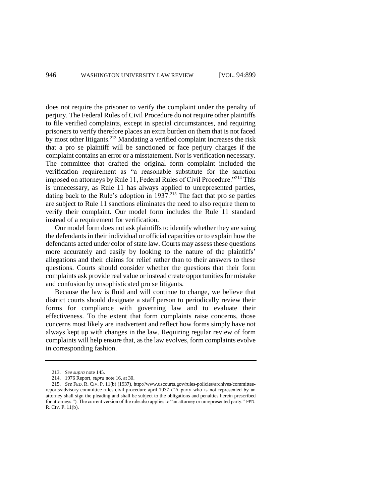does not require the prisoner to verify the complaint under the penalty of perjury. The Federal Rules of Civil Procedure do not require other plaintiffs to file verified complaints, except in special circumstances, and requiring prisoners to verify therefore places an extra burden on them that is not faced by most other litigants.<sup>213</sup> Mandating a verified complaint increases the risk that a pro se plaintiff will be sanctioned or face perjury charges if the complaint contains an error or a misstatement. Nor is verification necessary. The committee that drafted the original form complaint included the verification requirement as "a reasonable substitute for the sanction imposed on attorneys by Rule 11, Federal Rules of Civil Procedure."<sup>214</sup> This is unnecessary, as Rule 11 has always applied to unrepresented parties, dating back to the Rule's adoption in  $1937<sup>215</sup>$  The fact that pro se parties are subject to Rule 11 sanctions eliminates the need to also require them to verify their complaint. Our model form includes the Rule 11 standard instead of a requirement for verification.

Our model form does not ask plaintiffs to identify whether they are suing the defendants in their individual or official capacities or to explain how the defendants acted under color of state law. Courts may assess these questions more accurately and easily by looking to the nature of the plaintiffs' allegations and their claims for relief rather than to their answers to these questions. Courts should consider whether the questions that their form complaints ask provide real value or instead create opportunities for mistake and confusion by unsophisticated pro se litigants.

Because the law is fluid and will continue to change, we believe that district courts should designate a staff person to periodically review their forms for compliance with governing law and to evaluate their effectiveness. To the extent that form complaints raise concerns, those concerns most likely are inadvertent and reflect how forms simply have not always kept up with changes in the law. Requiring regular review of form complaints will help ensure that, as the law evolves, form complaints evolve in corresponding fashion.

<sup>213.</sup> *See supra* not[e 145.](#page-29-0)

<sup>214.</sup> 1976 Report, *supra* not[e 16,](#page-4-1) at 30.

<sup>215.</sup> *See* FED. R. CIV. P. 11(b) (1937), http://www.uscourts.gov/rules-policies/archives/committeereports/advisory-committee-rules-civil-procedure-april-1937 ("A party who is not represented by an attorney shall sign the pleading and shall be subject to the obligations and penalties herein prescribed for attorneys.")*.* The current version of the rule also applies to "an attorney or unrepresented party." FED. R. CIV. P. 11(b).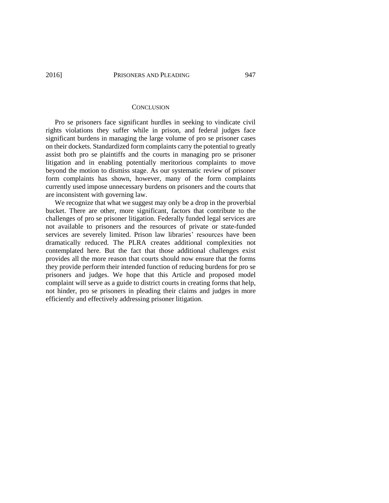#### **CONCLUSION**

Pro se prisoners face significant hurdles in seeking to vindicate civil rights violations they suffer while in prison, and federal judges face significant burdens in managing the large volume of pro se prisoner cases on their dockets. Standardized form complaints carry the potential to greatly assist both pro se plaintiffs and the courts in managing pro se prisoner litigation and in enabling potentially meritorious complaints to move beyond the motion to dismiss stage. As our systematic review of prisoner form complaints has shown, however, many of the form complaints currently used impose unnecessary burdens on prisoners and the courts that are inconsistent with governing law.

We recognize that what we suggest may only be a drop in the proverbial bucket. There are other, more significant, factors that contribute to the challenges of pro se prisoner litigation. Federally funded legal services are not available to prisoners and the resources of private or state-funded services are severely limited. Prison law libraries' resources have been dramatically reduced. The PLRA creates additional complexities not contemplated here. But the fact that those additional challenges exist provides all the more reason that courts should now ensure that the forms they provide perform their intended function of reducing burdens for pro se prisoners and judges. We hope that this Article and proposed model complaint will serve as a guide to district courts in creating forms that help, not hinder, pro se prisoners in pleading their claims and judges in more efficiently and effectively addressing prisoner litigation.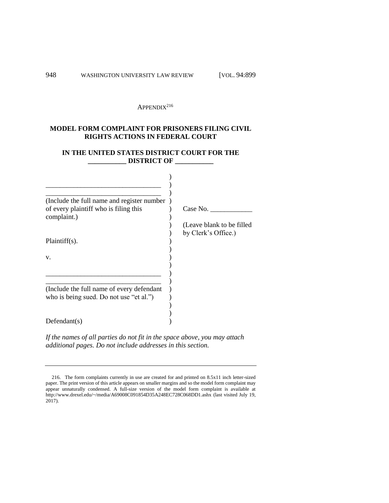# $APPENDIX<sup>216</sup>$

# **MODEL FORM COMPLAINT FOR PRISONERS FILING CIVIL RIGHTS ACTIONS IN FEDERAL COURT**

# **IN THE UNITED STATES DISTRICT COURT FOR THE \_\_\_\_\_\_\_\_\_\_\_ DISTRICT OF \_\_\_\_\_\_\_\_\_\_\_**

| (Include the full name and register number) |                           |
|---------------------------------------------|---------------------------|
| of every plaintiff who is filing this       | Case No.                  |
| complaint.)                                 |                           |
|                                             | (Leave blank to be filled |
|                                             | by Clerk's Office.)       |
| $Plaintiff(s)$ .                            |                           |
|                                             |                           |
| V.                                          |                           |
|                                             |                           |
|                                             |                           |
|                                             |                           |
|                                             |                           |
| (Include the full name of every defendant   |                           |
| who is being sued. Do not use "et al.")     |                           |
|                                             |                           |
|                                             |                           |
| Defendant(s)                                |                           |
|                                             |                           |

*If the names of all parties do not fit in the space above, you may attach additional pages. Do not include addresses in this section.* 

<sup>216.</sup> The form complaints currently in use are created for and printed on 8.5x11 inch letter-sized paper. The print version of this article appears on smaller margins and so the model form complaint may appear unnaturally condensed. A full-size version of the model form complaint is available at <http://www.drexel.edu/~/media/A69008C091854D35A248EC728C068DD1.ashx> (last visited July 19, 2017).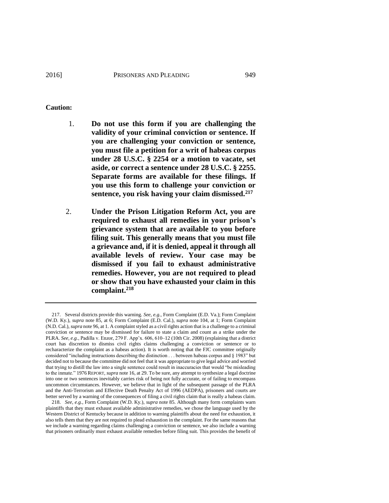- 1. **Do not use this form if you are challenging the validity of your criminal conviction or sentence. If you are challenging your conviction or sentence, you must file a petition for a writ of habeas corpus under 28 U.S.C. § 2254 or a motion to vacate, set aside, or correct a sentence under 28 U.S.C. § 2255. Separate forms are available for these filings. If you use this form to challenge your conviction or sentence, you risk having your claim dismissed.<sup>217</sup>**
- <span id="page-50-0"></span>2. **Under the Prison Litigation Reform Act, you are required to exhaust all remedies in your prison's grievance system that are available to you before filing suit. This generally means that you must file a grievance and, if it is denied, appeal it through all available levels of review. Your case may be dismissed if you fail to exhaust administrative remedies. However, you are not required to plead or show that you have exhausted your claim in this complaint.<sup>218</sup>**

<sup>217.</sup> Several districts provide this warning. *See, e.g.*, Form Complaint (E.D. Va.); Form Complaint (W.D. Ky.), *supra* note [85,](#page-16-3) at 6; Form Complaint (E.D. Cal.), *supra* note [104,](#page-20-1) at 1; Form Complaint (N.D. Cal.), *supra* not[e 96,](#page-18-1) at 1. A complaint styled as a civil rights action that is a challenge to a criminal conviction or sentence may be dismissed for failure to state a claim and count as a strike under the PLRA. *See, e.g.*, Padilla v. Enzor, 279 F. App'x. 606, 610–12 (10th Cir. 2008) (explaining that a district court has discretion to dismiss civil rights claims challenging a conviction or sentence or to recharacterize the complaint as a habeas action). It is worth noting that the FJC committee originally considered "including instructions describing the distinction . . . between habeas corpus and § 1983" but decided not to because the committee did not feel that it was appropriate to give legal advice and worried that trying to distill the law into a single sentence could result in inaccuracies that would "be misleading to the inmate." 1976 REPORT, *supra* not[e 16,](#page-4-1) at 29. To be sure, any attempt to synthesize a legal doctrine into one or two sentences inevitably carries risk of being not fully accurate, or of failing to encompass uncommon circumstances. However, we believe that in light of the subsequent passage of the PLRA and the Anti-Terrorism and Effective Death Penalty Act of 1996 (AEDPA), prisoners and courts are better served by a warning of the consequences of filing a civil rights claim that is really a habeas claim.

<sup>218.</sup> *See, e.g.*, Form Complaint (W.D. Ky.), *supra* not[e 85.](#page-16-3) Although many form complaints warn plaintiffs that they must exhaust available administrative remedies, we chose the language used by the Western District of Kentucky because in addition to warning plaintiffs about the need for exhaustion, it also tells them that they are not required to plead exhaustion in the complaint. For the same reasons that we include a warning regarding claims challenging a conviction or sentence, we also include a warning that prisoners ordinarily must exhaust available remedies before filing suit. This provides the benefit of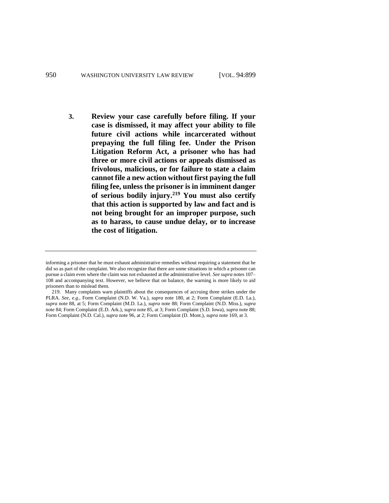**3. Review your case carefully before filing. If your case is dismissed, it may affect your ability to file future civil actions while incarcerated without prepaying the full filing fee. Under the Prison Litigation Reform Act, a prisoner who has had three or more civil actions or appeals dismissed as frivolous, malicious, or for failure to state a claim cannot file a new action without first paying the full filing fee, unless the prisoner is in imminent danger of serious bodily injury.<sup>219</sup> You must also certify that this action is supported by law and fact and is not being brought for an improper purpose, such as to harass, to cause undue delay, or to increase the cost of litigation.**

informing a prisoner that he must exhaust administrative remedies without requiring a statement that he did so as part of the complaint. We also recognize that there are some situations in which a prisoner can pursue a claim even where the claim was not exhausted at the administrative level. *See supra* note[s 107–](#page-21-0) [108](#page-21-1) and accompanying text. However, we believe that on balance, the warning is more likely to aid prisoners than to mislead them.

<sup>219.</sup> Many complaints warn plaintiffs about the consequences of accruing three strikes under the PLRA. *See, e.g.*, Form Complaint (N.D. W. Va.), *supra* note [180,](#page-40-0) at 2; Form Complaint (E.D. La.), *supra* note [88,](#page-17-0) at 5; Form Complaint (M.D. La.), *supra* not[e 88;](#page-17-0) Form Complaint (N.D. Miss.), *supra* note [84;](#page-16-1) Form Complaint (E.D. Ark.), *supra* not[e 85,](#page-16-3) at 3; Form Complaint (S.D. Iowa), *supra* not[e 88;](#page-17-0)  Form Complaint (N.D. Cal.), *supra* note 96, at 2; Form Complaint (D. Mont.), *supra* not[e 169,](#page-35-0) at 3.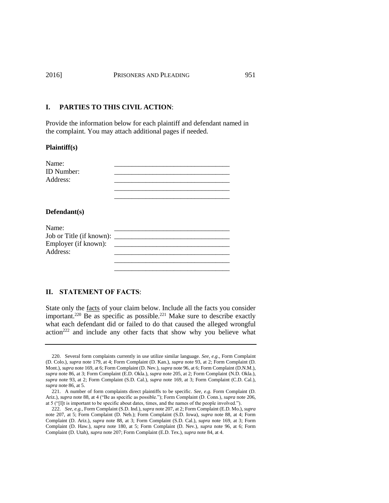#### **I. PARTIES TO THIS CIVIL ACTION**:

Provide the information below for each plaintiff and defendant named in the complaint. You may attach additional pages if needed.

#### **Plaintiff(s)**

| Name:             |  |
|-------------------|--|
| <b>ID</b> Number: |  |
| Address:          |  |
|                   |  |

\_\_\_\_\_\_\_\_\_\_\_\_\_\_\_\_\_\_\_\_\_\_\_\_\_\_\_\_\_\_\_\_\_

\_\_\_\_\_\_\_\_\_\_\_\_\_\_\_\_\_\_\_\_\_\_\_\_\_\_\_\_\_\_\_\_\_

#### **Defendant(s)**

| Name:                    |  |
|--------------------------|--|
| Job or Title (if known): |  |
| Employer (if known):     |  |
| Address:                 |  |
|                          |  |

## **II. STATEMENT OF FACTS**:

State only the facts of your claim below. Include all the facts you consider important.<sup>220</sup> Be as specific as possible.<sup>221</sup> Make sure to describe exactly what each defendant did or failed to do that caused the alleged wrongful action<sup>222</sup> and include any other facts that show why you believe what

<sup>220.</sup> Several form complaints currently in use utilize similar language. *See, e.g*., Form Complaint (D. Colo.), *supra* note [179,](#page-39-0) at 4; Form Complaint (D. Kan.), *supra* note [93,](#page-18-0) at 2; Form Complaint (D. Mont.), *supra* not[e 169,](#page-35-0) at 6; Form Complaint (D. Nev.), *supra* not[e 96,](#page-18-1) at 6; Form Complaint (D.N.M.), *supra* not[e 86,](#page-16-2) at 3; Form Complaint (E.D. Okla.), *supra* not[e 205,](#page-45-0) at 2; Form Complaint (N.D. Okla.), *supra* note [93,](#page-18-0) at 2; Form Complaint (S.D. Cal.), *supra* note [169,](#page-35-0) at 3; Form Complaint (C.D. Cal.), *supra* not[e 86,](#page-16-2) at 5.

<sup>221.</sup> A number of form complaints direct plaintiffs to be specific. *See, e.g*. Form Complaint (D. Ariz.), *supra* not[e 88,](#page-17-0) at 4 ("Be as specific as possible."); Form Complaint (D. Conn.), *supra* not[e 206,](#page-45-1)  at 5 ("[I]t is important to be specific about dates, times, and the names of the people involved.").

<sup>222.</sup> *See, e.g.*, Form Complaint (S.D. Ind.), *supra* not[e 207,](#page-45-2) at 2; Form Complaint (E.D. Mo.), *supra* note [207,](#page-45-2) at 5; Form Complaint (D. Neb.); Form Complaint (S.D. Iowa), *supra* note [88,](#page-17-0) at 4; Form Complaint (D. Ariz.), *supra* note [88,](#page-17-0) at 3; Form Complaint (S.D. Cal.), *supra* note [169,](#page-35-0) at 3; Form Complaint (D. Haw.), *supra* note [180,](#page-40-0) at 5; Form Complaint (D. Nev.), *supra* note [96,](#page-18-1) at 6; Form Complaint (D. Utah), *supra* not[e 207;](#page-45-2) Form Complaint (E.D. Tex.), *supra* not[e 84,](#page-16-1) at 4.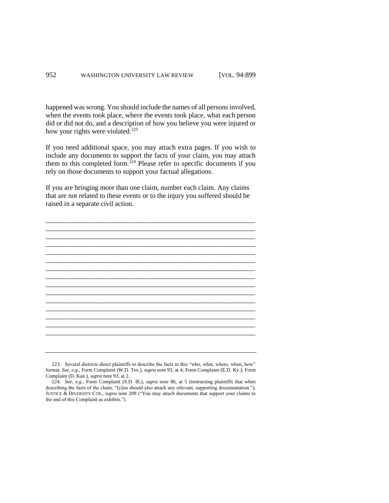happened was wrong. You should include the names of all persons involved, when the events took place, where the events took place, what each person did or did not do, and a description of how you believe you were injured or how your rights were violated.<sup>223</sup>

If you need additional space, you may attach extra pages. If you wish to include any documents to support the facts of your claim, you may attach them to this completed form.<sup>224</sup> Please refer to specific documents if you rely on those documents to support your factual allegations.

If you are bringing more than one claim, number each claim. Any claims that are not related to these events or to the injury you suffered should be raised in a separate civil action.



<sup>223.</sup> Several districts direct plaintiffs to describe the facts in this "who, what, where, when, how" format. *See, e.g.*, Form Complaint (W.D. Tex.), *supra* note 93, at 4; Form Complaint (E.D. Ky.); Form Complaint (D. Kan.), *supra* not[e 93,](#page-18-0) at 2.

<sup>224.</sup> *See, e.g.*, Form Complaint (S.D. Ill.), *supra* note [86,](#page-16-2) at 5 (instructing plaintiffs that when describing the facts of the claim, "[y]ou should also attach any relevant, supporting documentation."); JUSTICE & DIVERSITY CTR.*, supra* not[e 209](#page-46-0) ("You may attach documents that support your claims to the end of this Complaint as exhibits.").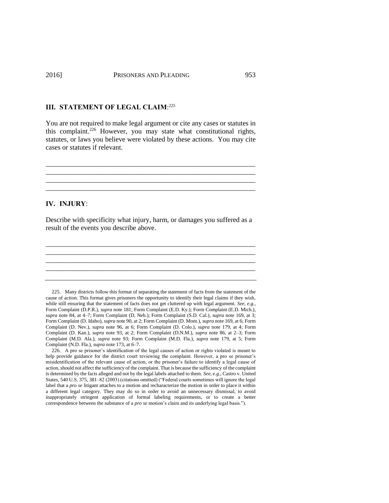## **III. STATEMENT OF LEGAL CLAIM**: 225

You are not required to make legal argument or cite any cases or statutes in this complaint. <sup>226</sup> However, you may state what constitutional rights, statutes, or laws you believe were violated by these actions. You may cite cases or statutes if relevant.

\_\_\_\_\_\_\_\_\_\_\_\_\_\_\_\_\_\_\_\_\_\_\_\_\_\_\_\_\_\_\_\_\_\_\_\_\_\_\_\_\_\_\_\_\_\_\_\_\_\_\_\_\_\_\_\_\_\_\_\_ \_\_\_\_\_\_\_\_\_\_\_\_\_\_\_\_\_\_\_\_\_\_\_\_\_\_\_\_\_\_\_\_\_\_\_\_\_\_\_\_\_\_\_\_\_\_\_\_\_\_\_\_\_\_\_\_\_\_\_\_ \_\_\_\_\_\_\_\_\_\_\_\_\_\_\_\_\_\_\_\_\_\_\_\_\_\_\_\_\_\_\_\_\_\_\_\_\_\_\_\_\_\_\_\_\_\_\_\_\_\_\_\_\_\_\_\_\_\_\_\_ \_\_\_\_\_\_\_\_\_\_\_\_\_\_\_\_\_\_\_\_\_\_\_\_\_\_\_\_\_\_\_\_\_\_\_\_\_\_\_\_\_\_\_\_\_\_\_\_\_\_\_\_\_\_\_\_\_\_\_\_

## **IV. INJURY**:

Describe with specificity what injury, harm, or damages you suffered as a result of the events you describe above.

\_\_\_\_\_\_\_\_\_\_\_\_\_\_\_\_\_\_\_\_\_\_\_\_\_\_\_\_\_\_\_\_\_\_\_\_\_\_\_\_\_\_\_\_\_\_\_\_\_\_\_\_\_\_\_\_\_\_\_\_ \_\_\_\_\_\_\_\_\_\_\_\_\_\_\_\_\_\_\_\_\_\_\_\_\_\_\_\_\_\_\_\_\_\_\_\_\_\_\_\_\_\_\_\_\_\_\_\_\_\_\_\_\_\_\_\_\_\_\_\_ \_\_\_\_\_\_\_\_\_\_\_\_\_\_\_\_\_\_\_\_\_\_\_\_\_\_\_\_\_\_\_\_\_\_\_\_\_\_\_\_\_\_\_\_\_\_\_\_\_\_\_\_\_\_\_\_\_\_\_\_

225. Many districts follow this format of separating the statement of facts from the statement of the cause of action. This format gives prisoners the opportunity to identify their legal claims if they wish, while still ensuring that the statement of facts does not get cluttered up with legal argument. *See, e.g.*, Form Complaint (D.P.R.), *supra* not[e 181;](#page-40-1) Form Complaint (E.D. Ky.); Form Complaint (E.D. Mich.), *supra* note [84,](#page-16-1) at 4–7; Form Complaint (D. Neb.); Form Complaint (S.D. Cal.), *supra* not[e 169,](#page-35-0) at 3; Form Complaint (D. Idaho), *supra* not[e 90,](#page-17-1) at 2; Form Complaint (D. Mont.), *supra* not[e 169,](#page-35-0) at 6; Form Complaint (D. Nev.), *supra* note [96,](#page-18-1) at 6; Form Complaint (D. Colo.), *supra* note [179,](#page-39-0) at 4; Form Complaint (D. Kan.), *supra* note [93,](#page-18-0) at 2; Form Complaint (D.N.M.), *supra* note [86,](#page-16-2) at 2–3; Form Complaint (M.D. Ala.), *supra* note [93;](#page-18-0) Form Complaint (M.D. Fla.), *supra* note [179,](#page-39-0) at 5; Form Complaint (N.D. Fla.), *supra* not[e 173,](#page-36-1) at 6–7.

<sup>226.</sup> A pro se prisoner's identification of the legal causes of action or rights violated is meant to help provide guidance for the district court reviewing the complaint. However, a pro se prisoner's misidentification of the relevant cause of action, or the prisoner's failure to identify a legal cause of action, should not affect the sufficiency of the complaint. That is because the sufficiency of the complaint is determined by the facts alleged and not by the legal labels attached to them. *See, e.g.*, Castro v. United States, 540 U.S. 375, 381–82 (2003) (citations omitted) ("Federal courts sometimes will ignore the legal label that a *pro se* litigant attaches to a motion and recharacterize the motion in order to place it within a different legal category. They may do so in order to avoid an unnecessary dismissal, to avoid inappropriately stringent application of formal labeling requirements, or to create a better correspondence between the substance of a *pro se* motion's claim and its underlying legal basis.").